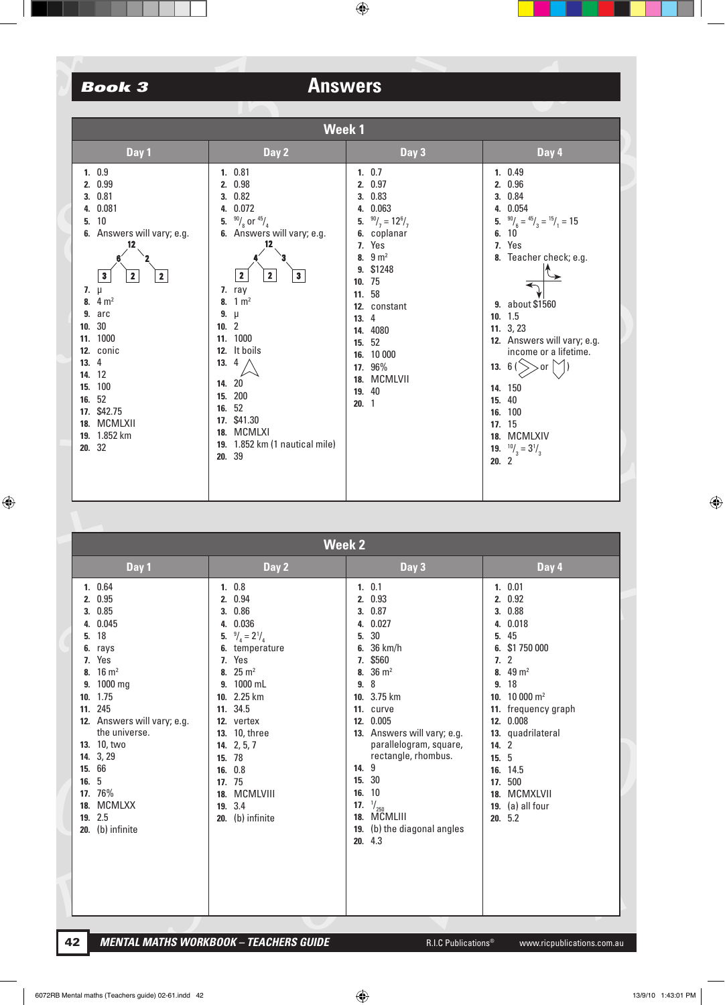| <b>Week1</b>                                                                                                                                                                                                                                                                                                                                                  |                                                                                                                                                                                                                                                                                                                                                                    |                                                                                                                                                                                                                                                                                |                                                                                                                                                                                                                                                                                                                                                                                       |  |  |
|---------------------------------------------------------------------------------------------------------------------------------------------------------------------------------------------------------------------------------------------------------------------------------------------------------------------------------------------------------------|--------------------------------------------------------------------------------------------------------------------------------------------------------------------------------------------------------------------------------------------------------------------------------------------------------------------------------------------------------------------|--------------------------------------------------------------------------------------------------------------------------------------------------------------------------------------------------------------------------------------------------------------------------------|---------------------------------------------------------------------------------------------------------------------------------------------------------------------------------------------------------------------------------------------------------------------------------------------------------------------------------------------------------------------------------------|--|--|
| Day 1                                                                                                                                                                                                                                                                                                                                                         | Day 2                                                                                                                                                                                                                                                                                                                                                              | Day 3                                                                                                                                                                                                                                                                          | Day 4                                                                                                                                                                                                                                                                                                                                                                                 |  |  |
| 1.0.9<br>0.99<br>2.<br>0.81<br>3.<br>0.081<br>4.<br>10<br>5.<br>Answers will vary; e.g.<br>6.<br>12<br>$\mathbf{3}$<br>$\mathbf{2}$<br>$\mathbf{2}$<br>7. $\mu$<br>8. $4 m2$<br>arc<br>9.<br>30<br>10.<br>1000<br>11.<br>conic<br>12.<br>4<br>13.<br>12<br>14.<br>100<br>15.<br>52<br>16.<br>\$42.75<br>17.<br><b>MCMLXII</b><br>18.<br>19. 1.852 km<br>20.32 | 1.0.81<br>2. 0.98<br>3. 0.82<br>4. 0.072<br>5. $\frac{90}{8}$ or $\frac{45}{4}$<br>6. Answers will vary; e.g.<br>12<br>$\mathbf 2$<br>$\overline{2}$<br>$\mathbf{3}$<br>7. ray<br>8. $1 m2$<br>9. $\mu$<br>10.2<br>11. 1000<br>12. It boils<br>13.<br>4<br>14. 20<br>200<br>15.<br>16. 52<br>17. \$41.30<br>18. MCMLXI<br>19. 1.852 km (1 nautical mile)<br>20. 39 | 1.0.7<br>2. 0.97<br>3. 0.83<br>0.063<br>4.<br>5. $\frac{90}{7}$ = 12 <sup>6</sup> / <sub>7</sub><br>6. coplanar<br>7. Yes<br>8. $9 m2$<br>9. \$1248<br>10.75<br>11. 58<br>12. constant<br>13.4<br>14. 4080<br>15. 52<br>16. 10 000<br>17. 96%<br>18. MCMLVII<br>19. 40<br>20.1 | 1. 0.49<br>2. 0.96<br>3. 0.84<br>4. 0.054<br>5. $\frac{90}{6} = \frac{45}{3} = \frac{15}{1} = 15$<br>10<br>6.<br>7. Yes<br>8. Teacher check; e.g.<br>9. about \$1560<br>10.15<br>11.3,23<br>12. Answers will vary; e.g.<br>income or a lifetime.<br>13. $6($<br>$>>$ or<br>14. 150<br>15. 40<br>16. 100<br>17. 15<br>18. MCMLXIV<br><b>19.</b> $\binom{10}{3} = 3\frac{1}{3}$<br>20.2 |  |  |
|                                                                                                                                                                                                                                                                                                                                                               |                                                                                                                                                                                                                                                                                                                                                                    |                                                                                                                                                                                                                                                                                |                                                                                                                                                                                                                                                                                                                                                                                       |  |  |

|                                                                                                             | <b>Week 2</b>                                                                                                                                                                                                                         |                                                                                                                                                                                                                                                                                                                               |                                                                                        |                                                                                                                                                                                                                                                                                        |                                                                               |                                                                                                                                                                                                                                                |
|-------------------------------------------------------------------------------------------------------------|---------------------------------------------------------------------------------------------------------------------------------------------------------------------------------------------------------------------------------------|-------------------------------------------------------------------------------------------------------------------------------------------------------------------------------------------------------------------------------------------------------------------------------------------------------------------------------|----------------------------------------------------------------------------------------|----------------------------------------------------------------------------------------------------------------------------------------------------------------------------------------------------------------------------------------------------------------------------------------|-------------------------------------------------------------------------------|------------------------------------------------------------------------------------------------------------------------------------------------------------------------------------------------------------------------------------------------|
|                                                                                                             | Day 1                                                                                                                                                                                                                                 | Day 2                                                                                                                                                                                                                                                                                                                         |                                                                                        | Day 3                                                                                                                                                                                                                                                                                  |                                                                               | Day 4                                                                                                                                                                                                                                          |
| 2.<br>3.<br>4.<br>5.<br>6.<br>7.<br>8.<br>9.<br>10.<br>11.<br>14.<br>15.<br>16.<br>17.<br>18.<br>19.<br>20. | 1. 0.64<br>0.95<br>0.85<br>0.045<br>18<br>rays<br>Yes<br>$16 \text{ m}^2$<br>1000 mg<br>1.75<br>245<br>12. Answers will vary; e.g.<br>the universe.<br>13. 10, two<br>3, 29<br>66<br>5<br>76%<br><b>MCMLXX</b><br>2.5<br>(b) infinite | 1. 0.8<br>2. 0.94<br>0.86<br>3.<br>0.036<br>4.<br>5. $\frac{9}{4}$ = 2 <sup>1</sup> / <sub>4</sub><br>6. temperature<br>7. Yes<br>8. $25 \text{ m}^2$<br>9. 1000 mL<br>10. 2.25 km<br>11. 34.5<br>12. vertex<br>13. 10, three<br>14. 2, 5, 7<br>15. 78<br>16. 0.8<br>17. 75<br>MCMLVIII<br>18.<br>19. 3.4<br>20. (b) infinite | 4.<br>5.<br>6.<br>7.<br>8.<br>9.<br>10.<br>11.<br>12.<br>14. 9<br>15. 30<br>16.<br>17. | 1. 0.1<br>2. 0.93<br>3. 0.87<br>0.027<br>30<br>36 km/h<br>\$560<br>$36 \text{ m}^2$<br>8<br>3.75 km<br>curve<br>0.005<br>13. Answers will vary; e.g.<br>parallelogram, square,<br>rectangle, rhombus.<br>10<br>$\frac{1}{250}$<br>18. MCMLIII<br>19. (b) the diagonal angles<br>20.4.3 | 4.<br>5.<br>6.<br>7.<br>9.<br>10.<br>12.<br>14.2<br>15.5<br>17.<br>18.<br>19. | 1.0.01<br>2. 0.92<br>3. 0.88<br>0.018<br>45<br>\$1 750 000<br>$\overline{2}$<br>8. $49 \text{ m}^2$<br>18<br>$10000 \text{ m}^2$<br>11. frequency graph<br>0.008<br>13. quadrilateral<br>16. 14.5<br>500<br>MCMXLVII<br>(a) all four<br>20.5.2 |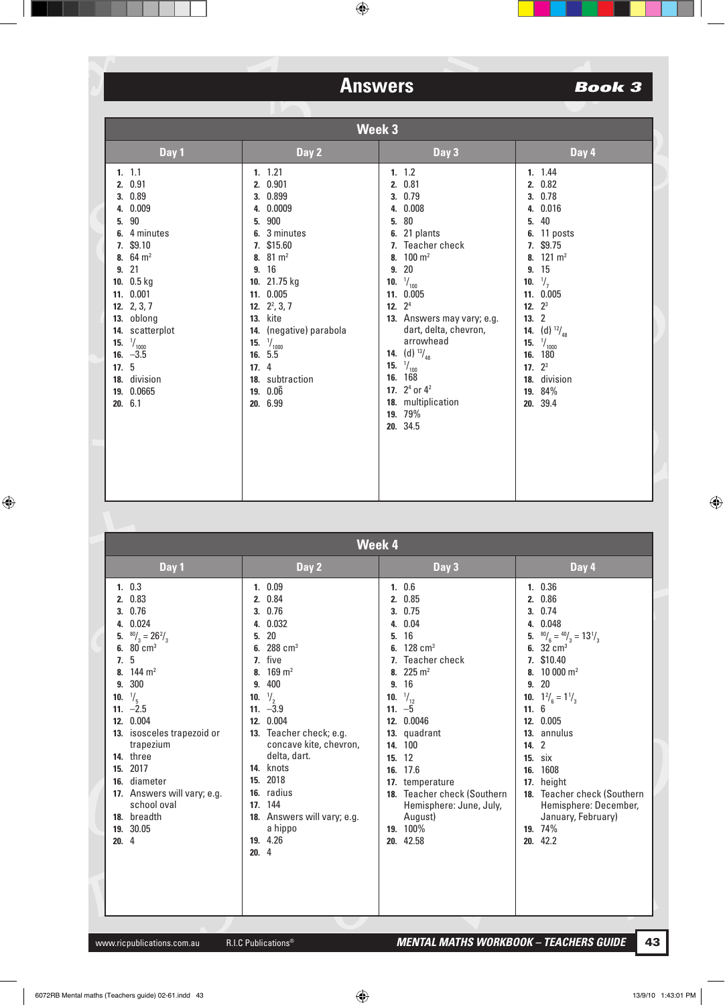|      | Week 3                                                                                                                                                                                                                                                                        |                                                                                                                                                                                                                                                                                                                  |                                                                                                                                                                                                                                                                                                                                                                                         |                                                                                                                                                                                                                                                                                                    |
|------|-------------------------------------------------------------------------------------------------------------------------------------------------------------------------------------------------------------------------------------------------------------------------------|------------------------------------------------------------------------------------------------------------------------------------------------------------------------------------------------------------------------------------------------------------------------------------------------------------------|-----------------------------------------------------------------------------------------------------------------------------------------------------------------------------------------------------------------------------------------------------------------------------------------------------------------------------------------------------------------------------------------|----------------------------------------------------------------------------------------------------------------------------------------------------------------------------------------------------------------------------------------------------------------------------------------------------|
|      | Day 1                                                                                                                                                                                                                                                                         | Day 2                                                                                                                                                                                                                                                                                                            | Day 3                                                                                                                                                                                                                                                                                                                                                                                   | Day 4                                                                                                                                                                                                                                                                                              |
| 17.5 | 1.11<br>2. 0.91<br>3. 0.89<br>4. 0.009<br>5. 90<br>6. 4 minutes<br>7. \$9.10<br>8. $64 \text{ m}^2$<br>9.21<br>10. 0.5 kg<br>11. 0.001<br>12. $2, 3, 7$<br>13. oblong<br>14. scatterplot<br><b>15.</b> $\frac{1}{1000}$<br>16. $-3.5$<br>18. division<br>19. 0.0665<br>20.6.1 | 1.1.21<br>2. 0.901<br>3. 0.899<br>4. 0.0009<br>5. 900<br>6. 3 minutes<br>7. \$15.60<br>8. $81 \text{ m}^2$<br>9. 16<br>10. 21.75 kg<br>11. 0.005<br>12. $2^2$ , 3, 7<br><b>13.</b> kite<br>14. (negative) parabola<br><b>15.</b> $\frac{1}{1000}$<br>16.5.5<br>17.4<br>18. subtraction<br>19. $0.06$<br>20. 6.99 | 1.12<br>2. 0.81<br>3. 0.79<br>4. 0.008<br>80<br>5.<br>6. 21 plants<br>7. Teacher check<br>8. $100 \text{ m}^2$<br>20<br>9.<br>$\frac{1}{100}$<br>10.<br>11. 0.005<br>12. $2^4$<br>13. Answers may vary; e.g.<br>dart, delta, chevron,<br>arrowhead<br><b>14.</b> (d) $^{13}/_{48}$<br>15. $\frac{1}{100}$<br>16. 168<br>17. $2^4$ or $4^2$<br>18. multiplication<br>19. 79%<br>20. 34.5 | 1. 1.44<br>2. 0.82<br>3. 0.78<br>4. 0.016<br>40<br>5.<br>6. 11 posts<br>7. \$9.75<br>8. $121 \text{ m}^2$<br>9. 15<br>$\frac{1}{7}$<br>10.<br>11. 0.005<br>12. $2^3$<br>13.2<br>(d) $^{12}/_{48}$<br>14.<br>$\frac{1}{1000}$<br>15.<br>16. 180<br>17. $2^3$<br>18. division<br>19. 84%<br>20. 39.4 |

| <b>Week 4</b>                                                                                                                                                                                                                                                                                                                                                                                |                                                                                                                                                                                                                                                                                                                                                                                                    |                                                                                                                                                                                                                                                                                                                                                  |                                                                                                                                                                                                                                                                                                                                                                                                     |
|----------------------------------------------------------------------------------------------------------------------------------------------------------------------------------------------------------------------------------------------------------------------------------------------------------------------------------------------------------------------------------------------|----------------------------------------------------------------------------------------------------------------------------------------------------------------------------------------------------------------------------------------------------------------------------------------------------------------------------------------------------------------------------------------------------|--------------------------------------------------------------------------------------------------------------------------------------------------------------------------------------------------------------------------------------------------------------------------------------------------------------------------------------------------|-----------------------------------------------------------------------------------------------------------------------------------------------------------------------------------------------------------------------------------------------------------------------------------------------------------------------------------------------------------------------------------------------------|
| Day 1                                                                                                                                                                                                                                                                                                                                                                                        | Day 2                                                                                                                                                                                                                                                                                                                                                                                              | Day 3                                                                                                                                                                                                                                                                                                                                            | Day 4                                                                                                                                                                                                                                                                                                                                                                                               |
| 1.03<br>2. 0.83<br>3. 0.76<br>4. 0.024<br>$\frac{80}{3}$ = 26 <sup>2</sup> / <sub>3</sub><br>5.<br>6. 80 $cm3$<br>5<br>$\overline{1}$ .<br>8. 144 $m2$<br>9. 300<br>$\frac{1}{5}$<br>10.<br>11. $-2.5$<br>12. 0.004<br>13. isosceles trapezoid or<br>trapezium<br>14. three<br>2017<br>15.<br>16. diameter<br>17. Answers will vary; e.g.<br>school oval<br>18. breadth<br>19. 30.05<br>20.4 | 1.0.09<br>0.84<br>2.<br>0.76<br>3.<br>0.032<br>4.<br>20<br>5.<br>$288$ cm <sup>3</sup><br>6.<br>7. five<br>$169 \text{ m}^2$<br>8.<br>400<br>9.<br>$\frac{1}{2}$<br>10.<br>11. $-\sqrt{3}$ .9<br>0.004<br>12.<br>13. Teacher check; e.g.<br>concave kite, chevron,<br>delta, dart.<br>14. knots<br>15. 2018<br>16. radius<br>17. 144<br>18. Answers will vary; e.g.<br>a hippo<br>19. 4.26<br>20.4 | 1.06<br>2. 0.85<br>3.0.75<br>4. 0.04<br>16<br>5.<br>6. $128 \text{ cm}^3$<br>7. Teacher check<br>8. 225 $m2$<br>9. 16<br>$\frac{1}{12}$<br>10.<br>11. $-5$<br>0.0046<br>12.<br>13. quadrant<br>14. 100<br>15. 12<br>17.6<br>16.<br>17. temperature<br>18. Teacher check (Southern<br>Hemisphere: June, July,<br>August)<br>19. 100%<br>20. 42.58 | 1.0.36<br>2. 0.86<br>0.74<br>3.<br>0.048<br>4.<br>$^{80}/_6 = ^{40}/_3 = 13\frac{1}{3}$<br>5.<br>6. $32 \text{ cm}^3$<br>7. \$10.40<br>8. 10 000 $m2$<br>9.20<br>10. $1\frac{2}{6} = 1\frac{1}{3}$<br>11.6<br>12. 0.005<br>13. annulus<br>14. 2<br><b>15.</b> six<br>1608<br>16.<br>17. height<br>18. Teacher check (Southern<br>Hemisphere: December,<br>January, February)<br>19. 74%<br>20. 42.2 |
|                                                                                                                                                                                                                                                                                                                                                                                              |                                                                                                                                                                                                                                                                                                                                                                                                    |                                                                                                                                                                                                                                                                                                                                                  |                                                                                                                                                                                                                                                                                                                                                                                                     |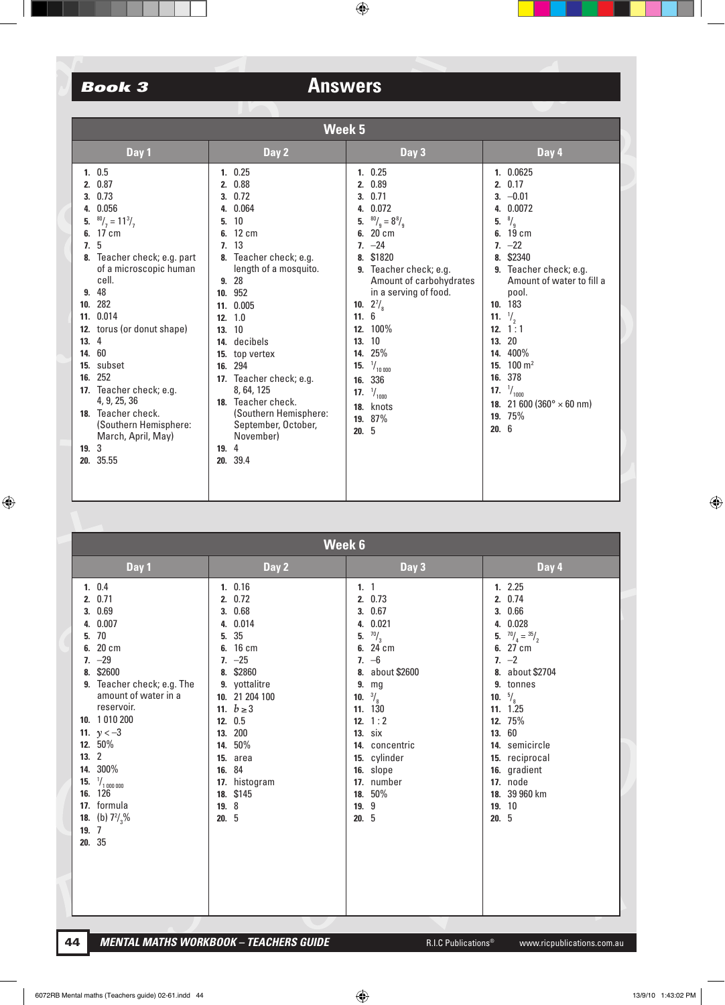| <b>Week 5</b>                                                                                                                                                                                                                                                                                                                                                                                                                      |                                                                                                                                                                                                                                                                                                                                                                                                                 |                                                                                                                                                                                                                                                                                                                                                                               |                                                                                                                                                                                                                                                                                                                                                                                                                     |  |  |
|------------------------------------------------------------------------------------------------------------------------------------------------------------------------------------------------------------------------------------------------------------------------------------------------------------------------------------------------------------------------------------------------------------------------------------|-----------------------------------------------------------------------------------------------------------------------------------------------------------------------------------------------------------------------------------------------------------------------------------------------------------------------------------------------------------------------------------------------------------------|-------------------------------------------------------------------------------------------------------------------------------------------------------------------------------------------------------------------------------------------------------------------------------------------------------------------------------------------------------------------------------|---------------------------------------------------------------------------------------------------------------------------------------------------------------------------------------------------------------------------------------------------------------------------------------------------------------------------------------------------------------------------------------------------------------------|--|--|
| Day 1                                                                                                                                                                                                                                                                                                                                                                                                                              | Day 2                                                                                                                                                                                                                                                                                                                                                                                                           | Day 3                                                                                                                                                                                                                                                                                                                                                                         | Day 4                                                                                                                                                                                                                                                                                                                                                                                                               |  |  |
| 1.0.5<br>2.0.87<br>0.73<br>0.056<br>4.<br>$^{80}/_{7} = 11^{3}/_{7}$<br>17 cm<br>6.<br>5<br>7.<br>8. Teacher check; e.g. part<br>of a microscopic human<br>cell.<br>48<br>9.<br>282<br>10.<br>11. 0.014<br>12. torus (or donut shape)<br>4<br>13.<br>60<br>14.<br>subset<br>15.<br>252<br>16.<br>17. Teacher check; e.g.<br>4, 9, 25, 36<br>18. Teacher check.<br>(Southern Hemisphere:<br>March, April, May)<br>19.3<br>20. 35.55 | 1.0.25<br>2. 0.88<br>3.0.72<br>0.064<br>4.<br>10<br>5.<br>$12 \text{ cm}$<br>6.<br>7.13<br>Teacher check; e.g.<br>8.<br>length of a mosquito.<br>9.28<br>10. 952<br>11. 0.005<br>1.0<br>12.<br>10<br>13.<br>decibels<br>14.<br>top vertex<br>15.<br>294<br>16.<br>17. Teacher check; e.g.<br>8, 64, 125<br>18. Teacher check.<br>(Southern Hemisphere:<br>September, October,<br>November)<br>19. 4<br>20. 39.4 | 1.0.25<br>2. 0.89<br>3.0.71<br>0.072<br>4.<br>$^{80}/_9 = 8^{8}/_9$<br>5.<br>20 cm<br>6.<br>$7. -24$<br>\$1820<br>8.<br>9. Teacher check; e.g.<br>Amount of carbohydrates<br>in a serving of food.<br>$2^{7}/_{8}$<br>10.<br>11.6<br>12. 100%<br>10<br>13.<br>25%<br>14.<br>$\frac{1}{10000}$<br>15.<br>336<br>16.<br>$\frac{1}{1000}$<br>17.<br>18. knots<br>19. 87%<br>20.5 | 1. 0.0625<br>2.0.17<br>$3. -0.01$<br>4. 0.0072<br>$\frac{8}{9}$<br>5.<br>$19 \text{ cm}$<br>6.<br>$7. -22$<br>\$2340<br>8.<br>9. Teacher check; e.g.<br>Amount of water to fill a<br>pool.<br>183<br>10.<br>$\frac{1}{2}$<br>11.<br>12. $1:1$<br>20<br>13.<br>400%<br>14.<br>$100 \; \mathrm{m}^2$<br>15.<br>378<br>16.<br>$\frac{1}{1000}$<br>17.<br>18. 21 600 (360 $^{\circ}$ $\times$ 60 nm)<br>19. 75%<br>20.6 |  |  |
|                                                                                                                                                                                                                                                                                                                                                                                                                                    |                                                                                                                                                                                                                                                                                                                                                                                                                 |                                                                                                                                                                                                                                                                                                                                                                               |                                                                                                                                                                                                                                                                                                                                                                                                                     |  |  |

| Week 6                                                                                                                                                                                                                                                                                                                                                                              |                                                                                                                                                                                                                                                        |                                                                                                                                                                                                                                                                           |                                                                                                                                                                                                                                                                                                 |  |
|-------------------------------------------------------------------------------------------------------------------------------------------------------------------------------------------------------------------------------------------------------------------------------------------------------------------------------------------------------------------------------------|--------------------------------------------------------------------------------------------------------------------------------------------------------------------------------------------------------------------------------------------------------|---------------------------------------------------------------------------------------------------------------------------------------------------------------------------------------------------------------------------------------------------------------------------|-------------------------------------------------------------------------------------------------------------------------------------------------------------------------------------------------------------------------------------------------------------------------------------------------|--|
| Day 1                                                                                                                                                                                                                                                                                                                                                                               | Day 2                                                                                                                                                                                                                                                  | Day 3                                                                                                                                                                                                                                                                     | Day 4                                                                                                                                                                                                                                                                                           |  |
| 1. 0.4<br>2.0.71<br>0.69<br>3.<br>0.007<br>4.<br>70<br>5.<br>20 cm<br>6.<br>$-29$<br>7.<br>\$2600<br>8.<br>9. Teacher check; e.g. The<br>amount of water in a<br>reservoir.<br>10. 1 010 200<br>11. $y < -3$<br>12. 50%<br>$\overline{2}$<br>13.<br>300%<br>14.<br>$\frac{1}{1}$ 1 000 000<br>15.<br>126<br>16.<br>17. formula<br><b>18.</b> (b) $7\frac{2}{3}\%$<br>19.7<br>20. 35 | 1.0.16<br>2. 0.72<br>3. 0.68<br>0.014<br>4.<br>35<br>5.<br>6. 16 cm<br>$7. -25$<br>8. \$2860<br>9. yottalitre<br>10. 21 204 100<br>11. $b \ge 3$<br>12. 0.5<br>13. 200<br>14. 50%<br>15. area<br>16. 84<br>17. histogram<br>18. \$145<br>19. 8<br>20.5 | 1.1<br>2. 0.73<br>3. 0.67<br>4. 0.021<br>$^{70}/_3$<br>5.<br>6. 24 cm<br>$7. -6$<br>8. about \$2600<br>9.<br>mg<br>$\frac{3}{8}$<br>10.<br>11. 130<br>12. $1:2$<br><b>13.</b> six<br>14. concentric<br>15. cylinder<br>16. slope<br>17. number<br>18. 50%<br>19.9<br>20.5 | 1.2.25<br>2. 0.74<br>3. 0.66<br>4. 0.028<br>$^{70}/_{4} = {^{35}/}_{2}$<br>5.<br>6. 27 cm<br>$7. -2$<br>8. about \$2704<br>9. tonnes<br>$\frac{5}{8}$<br>10.<br>11.1.25<br>12. 75%<br>13. 60<br>14. semicircle<br>15. reciprocal<br>16. gradient<br>17. node<br>18. 39 960 km<br>19. 10<br>20.5 |  |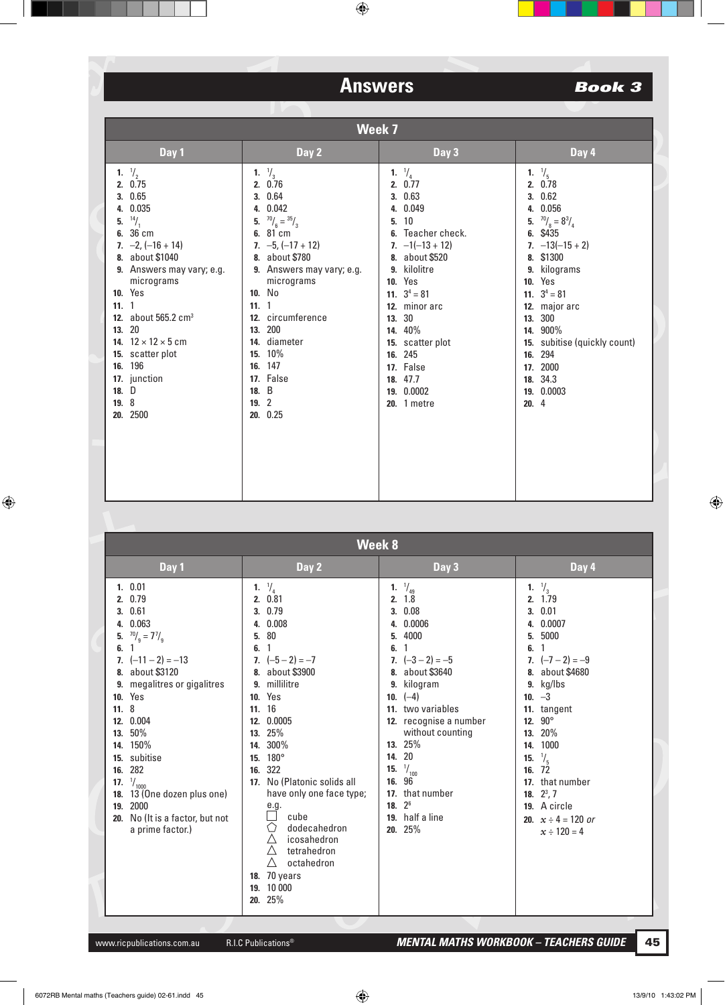| Week 7                                                                                                                                                                                                                                                                                                                                                         |                             |                                                                                                                                                                                                                                                                                |                                                                                                                                                                                                                                                                                                                       |                                                                                                                                                                                                                                                                                                                   |
|----------------------------------------------------------------------------------------------------------------------------------------------------------------------------------------------------------------------------------------------------------------------------------------------------------------------------------------------------------------|-----------------------------|--------------------------------------------------------------------------------------------------------------------------------------------------------------------------------------------------------------------------------------------------------------------------------|-----------------------------------------------------------------------------------------------------------------------------------------------------------------------------------------------------------------------------------------------------------------------------------------------------------------------|-------------------------------------------------------------------------------------------------------------------------------------------------------------------------------------------------------------------------------------------------------------------------------------------------------------------|
| Day 1                                                                                                                                                                                                                                                                                                                                                          |                             | Day 2                                                                                                                                                                                                                                                                          | Day 3                                                                                                                                                                                                                                                                                                                 | Day 4                                                                                                                                                                                                                                                                                                             |
| 1. $\frac{1}{2}$<br>2. 0.75<br>3.0.65<br>4. 0.035<br>$^{14}/_1$<br>5.<br>6. 36 cm<br>7. $-2$ , $(-16 + 14)$<br>8. about \$1040<br>9. Answers may vary; e.g.<br>micrograms<br><b>10.</b> Yes<br>11.1<br>12. about 565.2 cm <sup>3</sup><br>13. 20<br>14. $12 \times 12 \times 5$ cm<br>15. scatter plot<br>16. 196<br>17. junction<br>18. D<br>19.8<br>20. 2500 | 5.<br>11.1<br>18. B<br>19.2 | 1. $\frac{1}{3}$<br>2. 0.76<br>3. 0.64<br>4. 0.042<br>$70/6 = 35/3$<br>6. 81 cm<br>7. $-5$ , $(-17 + 12)$<br>8. about \$780<br>9. Answers may vary; e.g.<br>micrograms<br>10. No<br>12. circumference<br>13. 200<br>14. diameter<br>15. 10%<br>16. 147<br>17. False<br>20.0.25 | $\frac{1}{4}$<br>1.<br>2.0.77<br>3. 0.63<br>4. 0.049<br>10<br>5.<br>Teacher check.<br>6.<br>$7. -1(-13 + 12)$<br>8. about \$520<br>9. kilolitre<br><b>10.</b> Yes<br>11. $3^4 = 81$<br>12. minor arc<br>13. 30<br>14. 40%<br>15. scatter plot<br>16. 245<br>17. False<br>18, 47.7<br>19. 0.0002<br><b>20.</b> 1 metre | 1. $\frac{1}{5}$<br>2. 0.78<br>3. 0.62<br>4. 0.056<br>5. $^{70}/_8 = 8^{3}/_4$<br>6. \$435<br>7. $-13(-15 + 2)$<br>8. \$1300<br>9. kilograms<br><b>10.</b> Yes<br>11. $3^4 = 81$<br>12. major arc<br>13. 300<br>14. 900%<br>15. subitise (quickly count)<br>16. 294<br>17. 2000<br>18. 34.3<br>19. 0.0003<br>20.4 |

|                                                                                                                                                                                                                                                                                                                                                                                       | Week 8                                   |                                                                                                                                                                                                                                                                                                                                                                                          |                                                                                                                                                                                                                                                                                                                                                                         |                                                                                                                                                                                                                                                                                                                                                   |  |
|---------------------------------------------------------------------------------------------------------------------------------------------------------------------------------------------------------------------------------------------------------------------------------------------------------------------------------------------------------------------------------------|------------------------------------------|------------------------------------------------------------------------------------------------------------------------------------------------------------------------------------------------------------------------------------------------------------------------------------------------------------------------------------------------------------------------------------------|-------------------------------------------------------------------------------------------------------------------------------------------------------------------------------------------------------------------------------------------------------------------------------------------------------------------------------------------------------------------------|---------------------------------------------------------------------------------------------------------------------------------------------------------------------------------------------------------------------------------------------------------------------------------------------------------------------------------------------------|--|
| Day 1                                                                                                                                                                                                                                                                                                                                                                                 |                                          | Day 2                                                                                                                                                                                                                                                                                                                                                                                    | Day 3                                                                                                                                                                                                                                                                                                                                                                   | Day 4                                                                                                                                                                                                                                                                                                                                             |  |
| 1.0.01<br>2. 0.79<br>3.0.61<br>4. 0.063<br>$70g = 77$ / <sub>9</sub><br>5.<br>6.<br>1<br>7. $(-11 - 2) = -13$<br>8. about \$3120<br>9. megalitres or gigalitres<br><b>10.</b> Yes<br>11.8<br>12. 0.004<br>13. 50%<br>14. 150%<br>15. subitise<br>16. 282<br>17. $\frac{1}{1000}$<br>13 (One dozen plus one)<br>18.<br>19. 2000<br>20. No (It is a factor, but not<br>a prime factor.) | 6.1<br>8.<br>11. 16<br>14.<br>16.<br>17. | 1. $\frac{1}{4}$<br>2. 0.81<br>3. 0.79<br>4. 0.008<br>5. 80<br>7. $(-5 - 2) = -7$<br>about \$3900<br>9. millilitre<br><b>10.</b> Yes<br>12. 0.0005<br>13. 25%<br>300%<br>15. 180°<br>322<br>No (Platonic solids all<br>have only one face type;<br>e.g.<br>cube<br>O<br>dodecahedron<br>Δ<br>icosahedron<br>Δ<br>tetrahedron<br>Δ<br>octahedron<br>18. 70 years<br>19. 10 000<br>20. 25% | 1. $\frac{1}{49}$<br>2.18<br>0.08<br>3.<br>0.0006<br>4.<br>4000<br>5.<br>6.<br>$\mathbf{1}$<br>7. $(-3 - 2) = -5$<br>8. about \$3640<br>kilogram<br>9.<br>10. $(-4)$<br>11. two variables<br>12. recognise a number<br>without counting<br>13. 25%<br>20<br>14.<br>$\frac{1}{100}$<br>15.<br>96<br>16.<br>that number<br>17.<br>18. $2^6$<br>19. half a line<br>20. 25% | 1. $\frac{1}{3}$<br>2. 1.79<br>3.0.01<br>4. 0.0007<br>5. 5000<br>6.1<br>7. $(-7 - 2) = -9$<br>8. about \$4680<br>$9.$ kg/lbs<br>10. $-3$<br>11. tangent<br>$90^{\circ}$<br>12.<br>13. 20%<br>14. 1000<br>$\frac{1}{5}$<br>15.<br>16. 72<br>17. that number<br>18. $2^3$ , 7<br>19. A circle<br><b>20.</b> $x \div 4 = 120$ or<br>$x \div 120 = 4$ |  |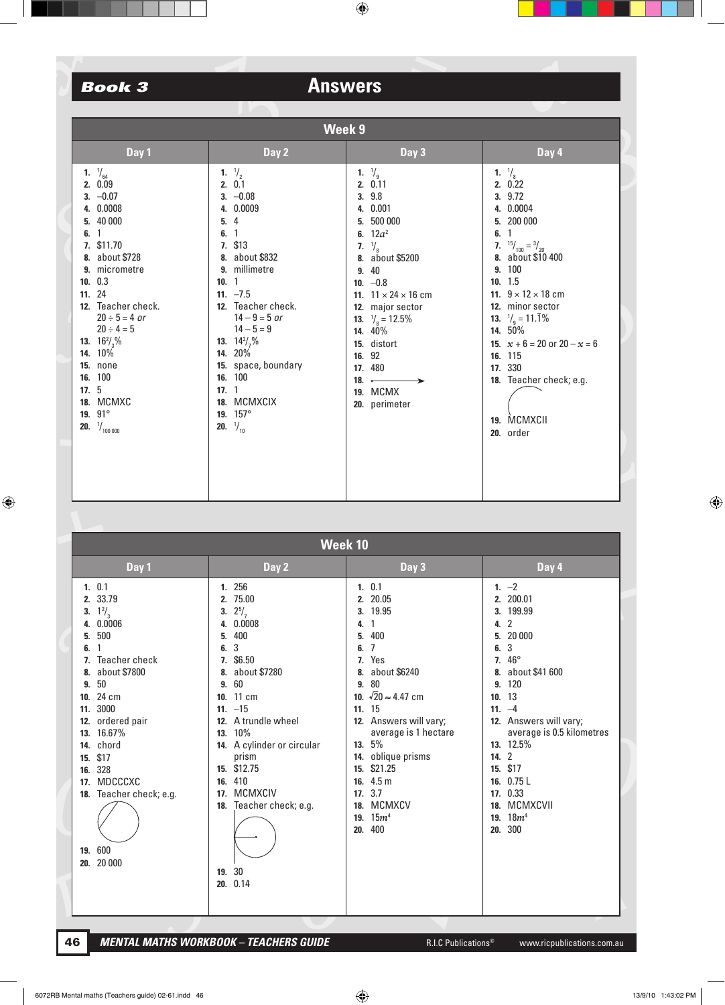## **Book 3**

# **Answers**

| Week 9                                                                                                                                                                                                                                                                                                                                                                               |                                                                                                                                                                                                                                                                                                                                                        |                                                                                                                                                                                                                                                                                                                                              |                                                                                                                                                                                                                                                                                                                                                                       |  |  |
|--------------------------------------------------------------------------------------------------------------------------------------------------------------------------------------------------------------------------------------------------------------------------------------------------------------------------------------------------------------------------------------|--------------------------------------------------------------------------------------------------------------------------------------------------------------------------------------------------------------------------------------------------------------------------------------------------------------------------------------------------------|----------------------------------------------------------------------------------------------------------------------------------------------------------------------------------------------------------------------------------------------------------------------------------------------------------------------------------------------|-----------------------------------------------------------------------------------------------------------------------------------------------------------------------------------------------------------------------------------------------------------------------------------------------------------------------------------------------------------------------|--|--|
| Day 1                                                                                                                                                                                                                                                                                                                                                                                | Day 2                                                                                                                                                                                                                                                                                                                                                  | Day 3                                                                                                                                                                                                                                                                                                                                        | Day 4                                                                                                                                                                                                                                                                                                                                                                 |  |  |
| 1. $\frac{1}{64}$<br>2. 0.09<br>$3. -0.07$<br>4. 0.0008<br>5. 40 000<br>$\overline{1}$<br>6.<br>7. \$11.70<br>8. about \$728<br>9. micrometre<br>10. 0.3<br>11. 24<br>12. Teacher check.<br>$20 \div 5 = 4$ or<br>$20 \div 4 = 5$<br><b>13.</b> $16\frac{2}{3}\%$<br>14. 10%<br><b>15. none</b><br>16. 100<br>17.5<br>18. MCMXC<br>19. $91^{\circ}$<br><b>20.</b> $\frac{1}{100000}$ | 1. $\frac{1}{2}$<br>2.0.1<br>$3. -0.08$<br>4. 0.0009<br>5, 4<br>6.1<br>7. \$13<br>8. about \$832<br>9. millimetre<br>10.1<br>11. $-7.5$<br>12. Teacher check.<br>$14 - 9 = 5$ or<br>$14 - 5 = 9$<br><b>13.</b> $14\frac{2}{7}\%$<br>14. 20%<br>15. space, boundary<br>16. 100<br>17.1<br>18. MCMXCIX<br>19. $157^{\circ}$<br><b>20.</b> $\frac{1}{10}$ | 1. $\frac{1}{9}$<br>2. 0.11<br>3. 9.8<br>4. 0.001<br>5. 500 000<br>6. $12a^2$<br>7. $\frac{1}{8}$<br>8. about \$5200<br>9.40<br>10. $-0.8$<br>11. $11 \times 24 \times 16$ cm<br>12. major sector<br><b>13.</b> $\frac{1}{8}$ = 12.5%<br>14. 40%<br>15. distort<br>16. 92<br>17. 480<br>18. $\leftarrow$<br><b>19. MCMX</b><br>20. perimeter | 1. $\frac{1}{8}$<br>2.0.22<br>3. 9.72<br>4. 0.0004<br>5. 200 000<br>6.1<br>7. $^{15}/_{100} = ^3/_{20}$<br>8. about \$10 400<br>9. 100<br>10.15<br>11. $9 \times 12 \times 18$ cm<br>12. minor sector<br><b>13.</b> $\frac{1}{9}$ = 11.1%<br>14. 50%<br>15. $x + 6 = 20$ or $20 - x = 6$<br>16. 115<br>17. 330<br>18. Teacher check; e.g.<br>19. MCMXCII<br>20. order |  |  |
|                                                                                                                                                                                                                                                                                                                                                                                      |                                                                                                                                                                                                                                                                                                                                                        |                                                                                                                                                                                                                                                                                                                                              |                                                                                                                                                                                                                                                                                                                                                                       |  |  |

|                                                                                                                                                                                                                                                                                                                                 | Week 10                                                                                                                                                                                                                                                                                                              |                                                                                                                                                                                                                                                                                                                                                                                                    |                                                                                                                                                                                                                                                                                                                                                                                        |  |  |
|---------------------------------------------------------------------------------------------------------------------------------------------------------------------------------------------------------------------------------------------------------------------------------------------------------------------------------|----------------------------------------------------------------------------------------------------------------------------------------------------------------------------------------------------------------------------------------------------------------------------------------------------------------------|----------------------------------------------------------------------------------------------------------------------------------------------------------------------------------------------------------------------------------------------------------------------------------------------------------------------------------------------------------------------------------------------------|----------------------------------------------------------------------------------------------------------------------------------------------------------------------------------------------------------------------------------------------------------------------------------------------------------------------------------------------------------------------------------------|--|--|
| Day 1                                                                                                                                                                                                                                                                                                                           | Day 2                                                                                                                                                                                                                                                                                                                | Day 3                                                                                                                                                                                                                                                                                                                                                                                              | Day 4                                                                                                                                                                                                                                                                                                                                                                                  |  |  |
| 1.0.1<br>33.79<br>2.<br>$1\frac{2}{3}$<br>3.<br>0.0006<br>500<br>5.<br>6.<br>Teacher check<br>about \$7800<br>8.<br>50<br>9.<br>24 cm<br>10.<br>3000<br>11.<br>ordered pair<br>12.<br>16.67%<br>13.<br>chord<br>14.<br>\$17<br>15.<br>328<br>16.<br>MDCCCXC<br>17.<br>Teacher check; e.g.<br>18.<br>600<br>19.<br>20 000<br>20. | 1. 256<br>2. 75.00<br>$2^{5}/7$<br>3.<br>4. 0.0008<br>400<br>5.<br>3<br>6.<br>7. \$6.50<br>8. about \$7280<br>9.60<br>10. 11 cm<br>$11. -15$<br>12. A trundle wheel<br>13. 10%<br>14. A cylinder or circular<br>prism<br>15. \$12.75<br>16. 410<br>MCMXCIV<br>17.<br>Teacher check; e.g.<br>18.<br>19. 30<br>20.0.14 | 1.0.1<br>2. 20.05<br>3. 19.95<br>$\mathbf{1}$<br>4.<br>400<br>5.<br>$\overline{7}$<br>6.<br>7. Yes<br>about \$6240<br>8.<br>80<br>9.<br>10. $\sqrt{20} \approx 4.47$ cm<br>11. 15<br>12. Answers will vary;<br>average is 1 hectare<br>5%<br>13.<br>14. oblique prisms<br>\$21.25<br>15.<br>4.5 <sub>m</sub><br>16.<br>3.7<br>17.<br><b>MCMXCV</b><br>18.<br>15m <sup>4</sup><br>19.<br>400<br>20. | 1. $-2$<br>2. 200.01<br>199.99<br>3.<br>$\overline{2}$<br>4.<br>20 000<br>5.<br>3<br>6.<br>$46^{\circ}$<br>7.<br>about \$41 600<br>8.<br>120<br>9.<br>13<br>10.<br>$11. -4$<br>12. Answers will vary;<br>average is 0.5 kilometres<br>13. 12.5%<br>$\overline{2}$<br>14.<br>\$17<br>15.<br>0.75L<br>16.<br>17. 0.33<br><b>MCMXCVII</b><br>18.<br>18m <sup>4</sup><br>19.<br>300<br>20. |  |  |
|                                                                                                                                                                                                                                                                                                                                 |                                                                                                                                                                                                                                                                                                                      |                                                                                                                                                                                                                                                                                                                                                                                                    |                                                                                                                                                                                                                                                                                                                                                                                        |  |  |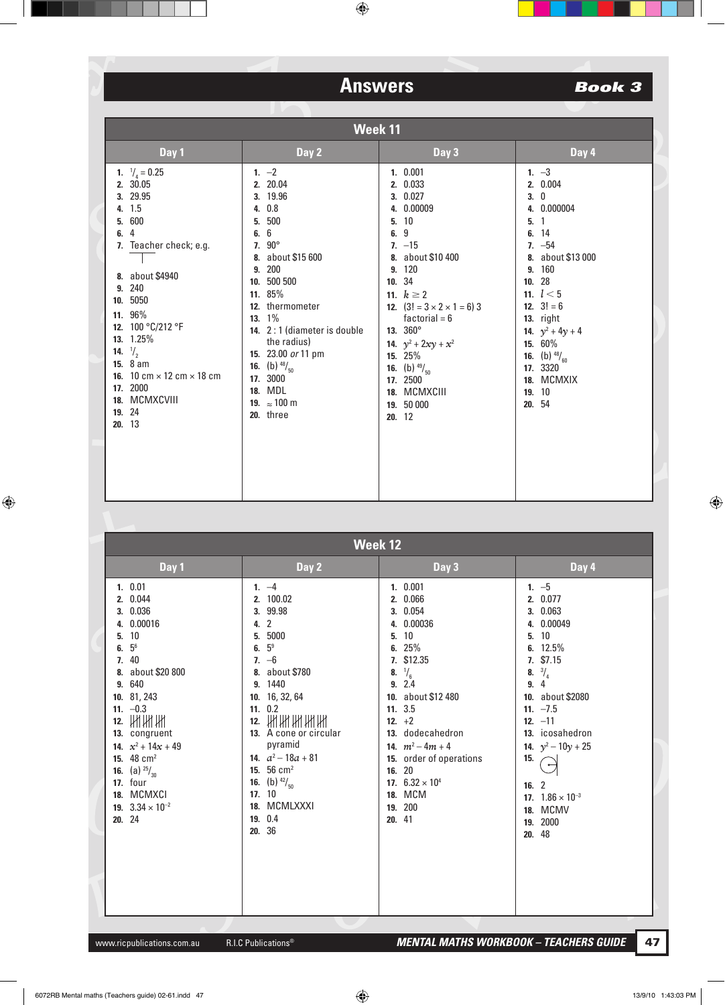| Week 11                                                                                                                                                                                                                                                                                                                                    |                                                                                                                                                                                                                                                                                                                                             |                                                                                                                                                                                                                                                                                                                                        |                                                                                                                                                                                                                                                                          |  |
|--------------------------------------------------------------------------------------------------------------------------------------------------------------------------------------------------------------------------------------------------------------------------------------------------------------------------------------------|---------------------------------------------------------------------------------------------------------------------------------------------------------------------------------------------------------------------------------------------------------------------------------------------------------------------------------------------|----------------------------------------------------------------------------------------------------------------------------------------------------------------------------------------------------------------------------------------------------------------------------------------------------------------------------------------|--------------------------------------------------------------------------------------------------------------------------------------------------------------------------------------------------------------------------------------------------------------------------|--|
| Day 1                                                                                                                                                                                                                                                                                                                                      | Day 2                                                                                                                                                                                                                                                                                                                                       | Day 3                                                                                                                                                                                                                                                                                                                                  | Day 4                                                                                                                                                                                                                                                                    |  |
| 1. $\frac{1}{4} = 0.25$<br>2. 30.05<br>3. 29.95<br>4. 1.5<br>600<br>5.<br>$\overline{4}$<br>6.<br>7. Teacher check; e.g.<br>8. about \$4940<br>9. 240<br>10. 5050<br>11. 96%<br>12. 100 °C/212 °F<br>13. 1.25%<br>14. $\frac{1}{2}$<br>15. 8 am<br>16. 10 cm $\times$ 12 cm $\times$ 18 cm<br>17. 2000<br>18. MCMXCVIII<br>19. 24<br>20.13 | 1. $-2$<br>2. 20.04<br>3. 19.96<br>4. 0.8<br>5. 500<br>6. 6<br>7. $90^{\circ}$<br>8. about \$15 600<br>9. 200<br>10. 500 500<br>11. 85%<br>12. thermometer<br>13. 1%<br>14. 2:1 (diameter is double<br>the radius)<br>15. 23.00 or 11 pm<br><b>16.</b> (b) $^{48}/_{50}$<br>17. 3000<br>18. MDL<br>19. $\approx 100 \text{ m}$<br>20. three | 1. 0.001<br>2. 0.033<br>3. 0.027<br>4. 0.00009<br>5.10<br>6. 9<br>$7. -15$<br>8. about \$10 400<br>9. 120<br>10. 34<br>11. $k \ge 2$<br>12. $(3! = 3 \times 2 \times 1 = 6)$ 3<br>factorial = $6$<br>13. $360^{\circ}$<br>14. $y^2 + 2xy + x^2$<br>15. 25%<br>16. (b) $^{49}/_{50}$<br>17. 2500<br>18. MCMXCIII<br>19. 50 000<br>20.12 | 1. $-3$<br>2. 0.004<br>3.0<br>4. 0.000004<br>5.1<br>6. 14<br>$7. -54$<br>8. about \$13 000<br>9. 160<br>10.28<br>11. $l < 5$<br>12. $3! = 6$<br>13. right<br>14. $y^2 + 4y + 4$<br>15. 60%<br><b>16.</b> (b) $^{48}/_{60}$<br>17. 3320<br>18. MCMXIX<br>19. 10<br>20. 54 |  |

| <b>Week 12</b>                                                                                                                                                                                                                                                                                                           |                                                                                                                                                                                                                                                                                                                                                        |                                                                                                                                                                                                                                                                                                                 |                                                                                                                                                                                                                                                                                        |  |
|--------------------------------------------------------------------------------------------------------------------------------------------------------------------------------------------------------------------------------------------------------------------------------------------------------------------------|--------------------------------------------------------------------------------------------------------------------------------------------------------------------------------------------------------------------------------------------------------------------------------------------------------------------------------------------------------|-----------------------------------------------------------------------------------------------------------------------------------------------------------------------------------------------------------------------------------------------------------------------------------------------------------------|----------------------------------------------------------------------------------------------------------------------------------------------------------------------------------------------------------------------------------------------------------------------------------------|--|
| Day 1                                                                                                                                                                                                                                                                                                                    | Day 2                                                                                                                                                                                                                                                                                                                                                  | Day 3                                                                                                                                                                                                                                                                                                           | Day 4                                                                                                                                                                                                                                                                                  |  |
| 1. 0.01<br>2. 0.044<br>3. 0.036<br>4. 0.00016<br>5. 10<br>$5^6$<br>6.<br>7. 40<br>8. about \$20 800<br>9. 640<br>10. 81, 243<br>11. $-0.3$<br>12. 開開開<br>13. congruent<br>14. $x^2 + 14x + 49$<br>15. $48 \text{ cm}^2$<br><b>16.</b> (a) $^{25}/_{30}$<br>17. four<br>18. MCMXCI<br>19. $3.34 \times 10^{-2}$<br>20. 24 | 1. $-4$<br>2. 100.02<br>3. 99.98<br>4. 2<br>5000<br>5.<br>5 <sup>9</sup><br>6.<br>$7. -6$<br>about \$780<br>8.<br>9. 1440<br>10. 16, 32, 64<br>11. 0.2<br><u>ини ин ин</u><br>12.<br>13. A cone or circular<br>pyramid<br>14. $a^2 - 18a + 81$<br>15. $56 \text{ cm}^2$<br><b>16.</b> (b) $^{42}/_{50}$<br>17. 10<br>18. MCMLXXXI<br>19. 0.4<br>20. 36 | 1. 0.001<br>2. 0.066<br>3. 0.054<br>0.00036<br>4.<br>10<br>5.<br>6. $25%$<br>7. \$12.35<br>$\frac{1}{6}$<br>8.<br>2.4<br>9.<br>10. about \$12 480<br>11.3.5<br>12. $+2$<br>13. dodecahedron<br>14. $m^2 - 4m + 4$<br>15. order of operations<br>16. 20<br>17. $6.32 \times 10^4$<br>18. MCM<br>19. 200<br>20.41 | 1. $-5$<br>2. 0.077<br>3. 0.063<br>4. 0.00049<br>5.10<br>6. $12.5%$<br>7. \$7.15<br>$\frac{3}{4}$<br>8.<br>9.4<br>10. about \$2080<br>11. $-7.5$<br>12. $-11$<br>13. icosahedron<br>14. $y^2 - 10y + 25$<br>15.<br>16.2<br>17. $1.86 \times 10^{-3}$<br>18. MCMV<br>19. 2000<br>20. 48 |  |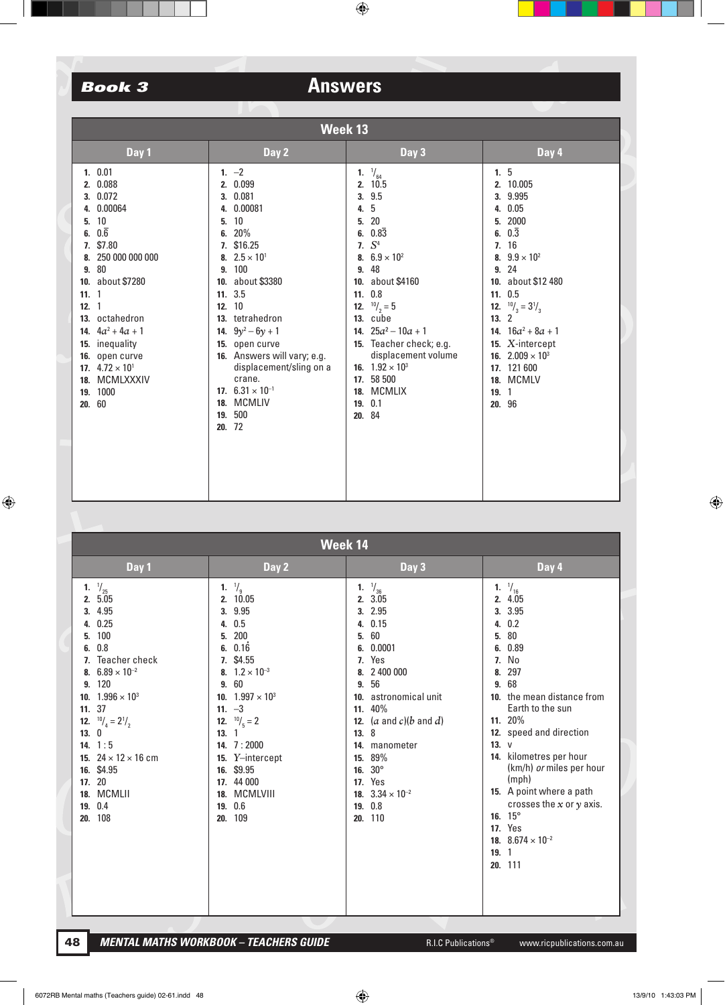| Week 13                                                                                                                                                                                                                                                                                                           |                                                                                                                                                                                                                                                                                                                                                                     |                                                                                                                                                                                                                                                                                                                                                                     |                                                                                                                                                                                                                                                                                                                     |  |  |
|-------------------------------------------------------------------------------------------------------------------------------------------------------------------------------------------------------------------------------------------------------------------------------------------------------------------|---------------------------------------------------------------------------------------------------------------------------------------------------------------------------------------------------------------------------------------------------------------------------------------------------------------------------------------------------------------------|---------------------------------------------------------------------------------------------------------------------------------------------------------------------------------------------------------------------------------------------------------------------------------------------------------------------------------------------------------------------|---------------------------------------------------------------------------------------------------------------------------------------------------------------------------------------------------------------------------------------------------------------------------------------------------------------------|--|--|
| Day 1                                                                                                                                                                                                                                                                                                             | Day 2                                                                                                                                                                                                                                                                                                                                                               | Day 3                                                                                                                                                                                                                                                                                                                                                               | Day 4                                                                                                                                                                                                                                                                                                               |  |  |
| 1.0.01<br>2. 0.088<br>3. 0.072<br>4. 0.00064<br>5.10<br>$0.\overline{6}$<br>6.<br>\$7.80<br>7.<br>8. 250 000 000 000<br>9. 80<br>10. about \$7280<br>11.1<br>12.1<br>13. octahedron<br>14. $4a^2 + 4a + 1$<br>15. inequality<br>16. open curve<br>17. $4.72 \times 10^{1}$<br>18. MCMLXXXIV<br>19. 1000<br>20. 60 | 1. $-2$<br>2. 0.099<br>3. 0.081<br>0.00081<br>4.<br>10<br>5.<br>6. $20\%$<br>7. \$16.25<br>8. $2.5 \times 10^{1}$<br>9. 100<br>10. about \$3380<br>11. 3.5<br>12. 10<br>13. tetrahedron<br>14. $9y^2 - 6y + 1$<br>15. open curve<br>16. Answers will vary; e.g.<br>displacement/sling on a<br>crane.<br>17. $6.31 \times 10^{-1}$<br>18. MCMLIV<br>19. 500<br>20.72 | 1. $\frac{1}{64}$<br>10.5<br>2.<br>3.9.5<br>5<br>4.<br>20<br>5.<br>6. $0.8\overline{3}$<br>7. $S^4$<br>8. $6.9 \times 10^{2}$<br>9.48<br>10. about \$4160<br>11. 0.8<br><b>12.</b> $^{10}/_2 = 5$<br>13. cube<br>14. $25a^2 - 10a + 1$<br>15. Teacher check; e.g.<br>displacement volume<br>16. $1.92 \times 10^3$<br>17. 58 500<br>18. MCMLIX<br>19. 0.1<br>20. 84 | 1.5<br>2. 10.005<br>3. 9.995<br>4. 0.05<br>5. 2000<br>6. $0.\overline{3}$<br>7.16<br>8. $9.9 \times 10^{2}$<br>9.24<br>10. about \$12 480<br>11.0.5<br><b>12.</b> $^{10}/_3 = 3^{1}/_3$<br>13.2<br>14. $16a^2 + 8a + 1$<br>15. X-intercept<br>16. $2.009 \times 10^3$<br>17. 121 600<br>18. MCMLV<br>19.1<br>20. 96 |  |  |

|                                           | Week 14                                                                                                                                                                                                                                                                                                           |                                                                                                                                                                                                                                                                                                                          |                        |                                                                                                                                                                                                                                                                                                          |                                                    |                                                                                                                                                                                                                                                                                                                                                                                   |
|-------------------------------------------|-------------------------------------------------------------------------------------------------------------------------------------------------------------------------------------------------------------------------------------------------------------------------------------------------------------------|--------------------------------------------------------------------------------------------------------------------------------------------------------------------------------------------------------------------------------------------------------------------------------------------------------------------------|------------------------|----------------------------------------------------------------------------------------------------------------------------------------------------------------------------------------------------------------------------------------------------------------------------------------------------------|----------------------------------------------------|-----------------------------------------------------------------------------------------------------------------------------------------------------------------------------------------------------------------------------------------------------------------------------------------------------------------------------------------------------------------------------------|
|                                           | Day 1                                                                                                                                                                                                                                                                                                             | Day 2                                                                                                                                                                                                                                                                                                                    |                        | Day 3                                                                                                                                                                                                                                                                                                    |                                                    | Day 4                                                                                                                                                                                                                                                                                                                                                                             |
| 1.<br>2.<br>5.<br>6.<br>9.<br>12.<br>13.0 | $\frac{1}{25}$<br>5.05<br>3. 4.95<br>4. 0.25<br>100<br>0.8<br>Teacher check<br>8. $6.89 \times 10^{-2}$<br>120<br>10. $1.996 \times 10^{3}$<br>11. 37<br>$^{10}/_{4}$ = 2 <sup>1</sup> / <sub>2</sub><br>14. $1:5$<br>15. $24 \times 12 \times 16$ cm<br>16. \$4.95<br>17. 20<br>18. MCMLII<br>19. 0.4<br>20. 108 | 1. $\frac{1}{9}$<br>2. 10.05<br>9.95<br>3.<br>0.5<br>4.<br>200<br>5.<br>0.16<br>6.<br>7. \$4.55<br>8. $1.2 \times 10^{-3}$<br>60<br>9.<br>10. $1.997 \times 10^3$<br>11. $-3$<br><b>12.</b> $^{10}/_5 = 2$<br>13.1<br>14. 7:2000<br>15. Y-intercept<br>16. \$9.95<br>17. 44 000<br>18. MCMLVIII<br>0.6<br>19.<br>20. 109 | 5.<br>6.<br>9.<br>13.8 | 1. $\frac{1}{36}$<br>2.3.05<br>3. 2.95<br>4. 0.15<br>60<br>0.0001<br>7. Yes<br>8. 2 400 000<br>56<br>10. astronomical unit<br>11. 40%<br>12. $(a \text{ and } c)(b \text{ and } d)$<br>14. manometer<br>15. 89%<br>16. $30^{\circ}$<br><b>17.</b> Yes<br>18. $3.34 \times 10^{-2}$<br>19. 0.8<br>20. 110 | 5.<br>6.<br>7.<br>8.<br>9.<br>13. V<br>14.<br>19.1 | 1. $\frac{1}{16}$<br>2. 4.05<br>3. 3.95<br>4. 0.2<br>80<br>0.89<br>No<br>297<br>68<br>10. the mean distance from<br>Earth to the sun<br>11. 20%<br>12. speed and direction<br>kilometres per hour<br>(km/h) or miles per hour<br>(mph)<br>15. A point where a path<br>crosses the $x$ or $y$ axis.<br>16. $15^{\circ}$<br><b>17.</b> Yes<br>18. $8.674 \times 10^{-2}$<br>20. 111 |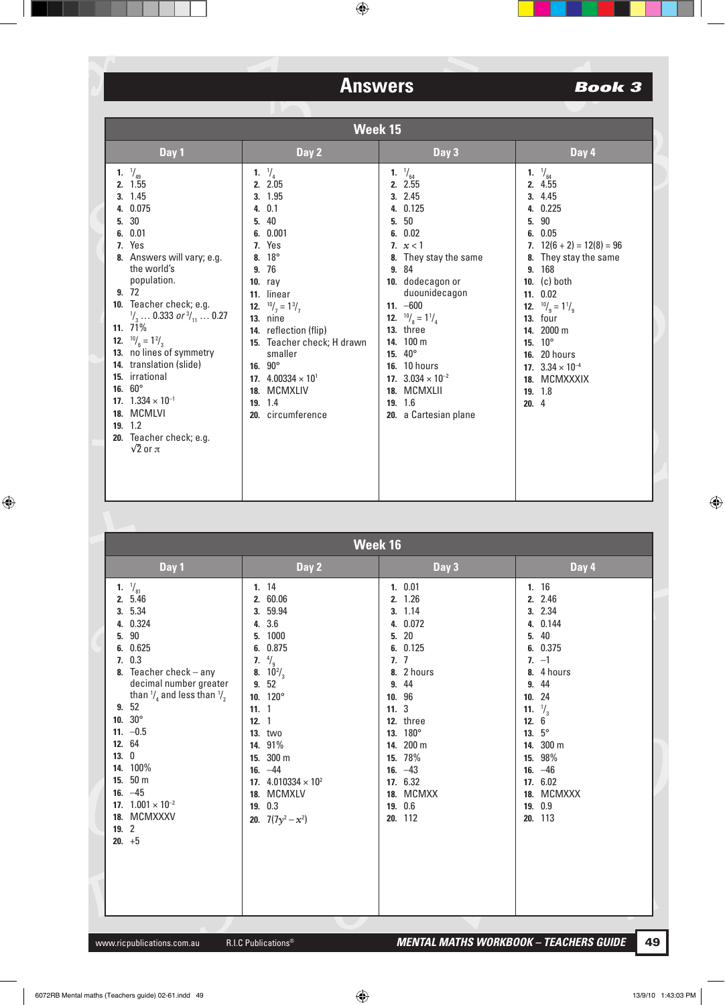| Week 15                                                                                                                                                                                                                                                                                                                                                                                                                                                                              |                                                                                                                                                                                                                                                                                                                                                                         |                                                                                                                                                                                                                                                                                                                                                                     |                                                                                                                                                                                                                                                                                                                                                        |  |
|--------------------------------------------------------------------------------------------------------------------------------------------------------------------------------------------------------------------------------------------------------------------------------------------------------------------------------------------------------------------------------------------------------------------------------------------------------------------------------------|-------------------------------------------------------------------------------------------------------------------------------------------------------------------------------------------------------------------------------------------------------------------------------------------------------------------------------------------------------------------------|---------------------------------------------------------------------------------------------------------------------------------------------------------------------------------------------------------------------------------------------------------------------------------------------------------------------------------------------------------------------|--------------------------------------------------------------------------------------------------------------------------------------------------------------------------------------------------------------------------------------------------------------------------------------------------------------------------------------------------------|--|
| Day 1                                                                                                                                                                                                                                                                                                                                                                                                                                                                                | Day 2                                                                                                                                                                                                                                                                                                                                                                   | Day 3                                                                                                                                                                                                                                                                                                                                                               | Day 4                                                                                                                                                                                                                                                                                                                                                  |  |
| 1. $\frac{1}{49}$<br>2. 1.55<br>3.1.45<br>4. 0.075<br>30<br>5.<br>6. 0.01<br>7. Yes<br>8. Answers will vary; e.g.<br>the world's<br>population.<br>9.72<br>10. Teacher check; e.g.<br>$\frac{1}{3}$ 0.333 or $\frac{3}{11}$ 0.27<br>11. $71\%$<br><b>12.</b> $^{10}/_6 = 1^2/_3$<br>13. no lines of symmetry<br>14. translation (slide)<br>15. irrational<br>16. $60^{\circ}$<br>17. $1.334 \times 10^{-1}$<br>18. MCMLVI<br>19.12<br>20. Teacher check; e.g.<br>$\sqrt{2}$ or $\pi$ | 1. $\frac{1}{4}$<br>2. 2.05<br>3. 1.95<br>4.0.1<br>40<br>5.<br>6. 0.001<br>7. Yes<br>$18^{\circ}$<br>8.<br>76<br>9.<br>$10.$ ray<br>11. linear<br><b>12.</b> $^{10}/_7 = 1^{3}/_7$<br><b>13.</b> nine<br>14. reflection (flip)<br>15. Teacher check; H drawn<br>smaller<br>16. $90^{\circ}$<br>17. $4.00334 \times 10^{1}$<br>18. MCMXLIV<br>19.14<br>20. circumference | $\frac{1}{64}$<br>1.<br>2. 2.55<br>3.2.45<br>4. 0.125<br>50<br>5.<br>6. 0.02<br>7. $x < 1$<br>They stay the same<br>8.<br>9. 84<br>10. dodecagon or<br>duounidecagon<br>11. $-600$<br><b>12.</b> $^{10}/_8 = 1^{1}/_4$<br>13. three<br>14. 100 m<br>15. 40°<br><b>16.</b> 10 hours<br>17. $3.034 \times 10^{-2}$<br>18. MCMXLII<br>19. 1.6<br>20. a Cartesian plane | 1. $\frac{1}{64}$<br>2. 4.55<br>3.4.45<br>4. 0.225<br>90<br>5.<br>6.0.05<br>7. $12(6 + 2) = 12(8) = 96$<br>8. They stay the same<br>9. 168<br>10. $(c)$ both<br>11. 0.02<br><b>12.</b> $^{10}/_9 = 1\frac{1}{9}$<br><b>13.</b> four<br>14. 2000 m<br>$10^{\circ}$<br>15.<br>16. 20 hours<br>17. $3.34 \times 10^{-4}$<br>18. MCMXXXIX<br>19.18<br>20.4 |  |

|    | Week 16                                                                                                                                                                                                                                                                                                                                                |                                                                                                                                                                                                                                                                                                |                                                                                                                                                                                                                                                                               |                                                                                                                                                                                                                                                                            |  |
|----|--------------------------------------------------------------------------------------------------------------------------------------------------------------------------------------------------------------------------------------------------------------------------------------------------------------------------------------------------------|------------------------------------------------------------------------------------------------------------------------------------------------------------------------------------------------------------------------------------------------------------------------------------------------|-------------------------------------------------------------------------------------------------------------------------------------------------------------------------------------------------------------------------------------------------------------------------------|----------------------------------------------------------------------------------------------------------------------------------------------------------------------------------------------------------------------------------------------------------------------------|--|
|    | Day 1                                                                                                                                                                                                                                                                                                                                                  | Day 2                                                                                                                                                                                                                                                                                          | Day 3                                                                                                                                                                                                                                                                         | Day 4                                                                                                                                                                                                                                                                      |  |
| 5. | 1. $\frac{1}{81}$<br>2. 5.46<br>3. 5.34<br>4. 0.324<br>90<br>6. 0.625<br>7.0.3<br>8. Teacher check $-$ any<br>decimal number greater<br>than $\frac{1}{4}$ and less than $\frac{1}{2}$<br>9.52<br>10. $30^\circ$<br>11. $-0.5$<br>12. 64<br>13.0<br>14. 100%<br>15. 50 m<br>16. $-45$<br>17. $1.001 \times 10^{-2}$<br>18. MCMXXXV<br>19.2<br>$20. +5$ | 1.14<br>2. 60.06<br>3. 59.94<br>4. 3.6<br>1000<br>5.<br>6. 0.875<br>$\frac{4}{9}$<br>7.<br>8. $10^{2}/_{3}$<br>9. 52<br>10. 120°<br>11.1<br>12.1<br><b>13. two</b><br>14. 91%<br>15. 300 m<br>16. $-44$<br>17. $4.010334 \times 10^{2}$<br>18. MCMXLV<br>19. 0.3<br><b>20.</b> $7(7y^2 - x^2)$ | 1. 0.01<br>2. 1.26<br>3. 1.14<br>4. 0.072<br>$20\,$<br>5.<br>0.125<br>6.<br>$\overline{7}$<br>$\overline{1}$ .<br>2 hours<br>8.<br>44<br>9.<br>96<br>10.<br>11.3<br>12. three<br>13. 180°<br>14. 200 m<br>15. 78%<br>16. $-43$<br>17. 6.32<br>18. MCMXX<br>19. 0.6<br>20. 112 | 1.16<br>2. 2.46<br>3. 2.34<br>4. 0.144<br>40<br>5.<br>6. 0.375<br>$7. -1$<br>8. 4 hours<br>44<br>9.<br>10.24<br>11. $\frac{1}{3}$<br>$6 \overline{6}$<br>12.<br>13. $5^{\circ}$<br>14. 300 m<br>98%<br>15.<br>16. $-46$<br>17. 6.02<br>MCMXXX<br>18.<br>19. 0.9<br>20. 113 |  |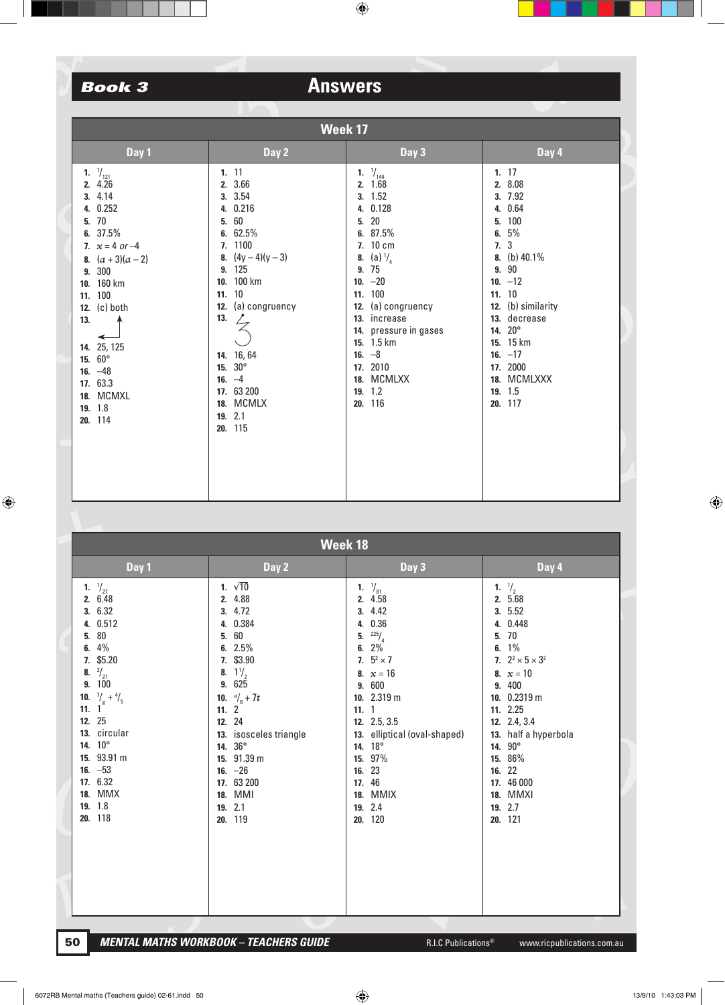| Week 17                                                                                                                                                                                                                                                                                                          |                                                                                                                                                                                                                                                                            |                                                                                                                                                                                                                                                                                                      |                                                                                                                                                                                                                                                                |  |  |  |
|------------------------------------------------------------------------------------------------------------------------------------------------------------------------------------------------------------------------------------------------------------------------------------------------------------------|----------------------------------------------------------------------------------------------------------------------------------------------------------------------------------------------------------------------------------------------------------------------------|------------------------------------------------------------------------------------------------------------------------------------------------------------------------------------------------------------------------------------------------------------------------------------------------------|----------------------------------------------------------------------------------------------------------------------------------------------------------------------------------------------------------------------------------------------------------------|--|--|--|
| Day 1                                                                                                                                                                                                                                                                                                            | Day 2                                                                                                                                                                                                                                                                      | Day 3                                                                                                                                                                                                                                                                                                | Day 4                                                                                                                                                                                                                                                          |  |  |  |
| 1. $\frac{1}{121}$<br>2. 4.26<br>4.14<br>3.<br>0.252<br>4.<br>70<br>5.<br>37.5%<br>6.<br>7. $x = 4$ or $-4$<br>$(a+3)(a-2)$<br>8.<br>300<br>9.<br>10. 160 km<br>100<br>11.<br>12. $(c)$ both<br>13.<br>25, 125<br>14.<br>$60^\circ$<br>15.<br>16. $-48$<br>17. 63.3<br><b>MCMXL</b><br>18.<br>19. 1.8<br>20. 114 | 1.11<br>2. 3.66<br>3. 3.54<br>4. 0.216<br>$60\,$<br>5.<br>6. $62.5%$<br>7. 1100<br>8. $(4y-4)(y-3)$<br>125<br>9.<br>10. 100 km<br>11. 10<br>(a) congruency<br>12.<br>13.<br>14. 16, 64<br>$30^{\circ}$<br>15.<br>16. $-4$<br>17. 63 200<br>18. MCMLX<br>19. 2.1<br>20. 115 | 1. $\frac{1}{144}$<br>2.1.68<br>3. 1.52<br>4. 0.128<br>$20\,$<br>5.<br>6. 87.5%<br>7. 10 cm<br>(a) $\frac{1}{4}$<br>8.<br>75<br>9.<br>10. $-20$<br>11. 100<br>(a) congruency<br>12.<br>13. increase<br>14. pressure in gases<br>15. 1.5 km<br>16. $-8$<br>17. 2010<br>18. MCMLXX<br>19.12<br>20. 116 | 1.17<br>2. 8.08<br>3. 7.92<br>4. 0.64<br>100<br>5.<br>$5\%$<br>6.<br>7.3<br>8. (b) $40.1\%$<br>$90\,$<br>9.<br>10. $-12$<br>11. 10<br>12. (b) similarity<br>13. decrease<br>14. 20°<br>15. 15 km<br>16. $-17$<br>17. 2000<br>18. MCMLXXX<br>19. 1.5<br>20. 117 |  |  |  |

| Week 18                                                                                                                                                                                                                                                                                                      |                                                                                                                                                                                                                                                                                             |                                                                                                                                                                                                                                                                                |                                                                                                                                                                                                                                                                                          |  |  |
|--------------------------------------------------------------------------------------------------------------------------------------------------------------------------------------------------------------------------------------------------------------------------------------------------------------|---------------------------------------------------------------------------------------------------------------------------------------------------------------------------------------------------------------------------------------------------------------------------------------------|--------------------------------------------------------------------------------------------------------------------------------------------------------------------------------------------------------------------------------------------------------------------------------|------------------------------------------------------------------------------------------------------------------------------------------------------------------------------------------------------------------------------------------------------------------------------------------|--|--|
| Day 1                                                                                                                                                                                                                                                                                                        | Day 2                                                                                                                                                                                                                                                                                       | Day 3                                                                                                                                                                                                                                                                          | Day 4                                                                                                                                                                                                                                                                                    |  |  |
| 1. $\frac{1}{27}$<br>2. 6.48<br>3. 6.32<br>0.512<br>4.<br>$80\,$<br>5.<br>4%<br>6.<br>\$5.20<br>7.<br>$^{2}/_{21}$<br>8.<br>100<br>9.<br>10. $\frac{7}{9} + \frac{4}{5}$<br>11. 1 <sup>9</sup><br>12. 25<br>13. circular<br>14. 10°<br>15. 93.91 m<br>16. $-53$<br>17. 6.32<br>18. MMX<br>19. 1.8<br>20. 118 | 1. $\sqrt{10}$<br>2. 4.88<br>3. 4.72<br>4. 0.384<br>5. 60<br>6. $2.5\%$<br>7. \$3.90<br>8. $1\frac{1}{2}$<br>9.625<br>10. $\frac{a}{6} + 7t$<br>11. $2^{\degree}$<br>12. 24<br>13. isosceles triangle<br>14. 36°<br>15. 91.39 m<br>16. $-26$<br>17. 63 200<br>18. MMI<br>19. 2.1<br>20. 119 | 1. $\frac{1}{81}$<br>2. 4.58<br>3. 4.42<br>4. 0.36<br>225/4<br>5.<br>2%<br>6.<br>7. $5^2 \times 7$<br>8. $x = 16$<br>9. 600<br>10. 2.319 m<br>11.1<br>12. 2.5, 3.5<br>13. elliptical (oval-shaped)<br>14. 18°<br>15. 97%<br>16. 23<br>17. 46<br>18. MMIX<br>19. 2.4<br>20. 120 | 1. $\frac{1}{2}$<br>2. 5.68<br>3.5.52<br>4. 0.448<br>$70$<br>5.<br>6. $1\%$<br>7. $2^2 \times 5 \times 3^2$<br>8. $x = 10$<br>9. 400<br>10. 0.2319 m<br>11. 2.25<br>12. 2.4, 3.4<br>13. half a hyperbola<br>14. 90°<br>15. 86%<br>16. 22<br>17. 46 000<br>18. MMXI<br>19. 2.7<br>20. 121 |  |  |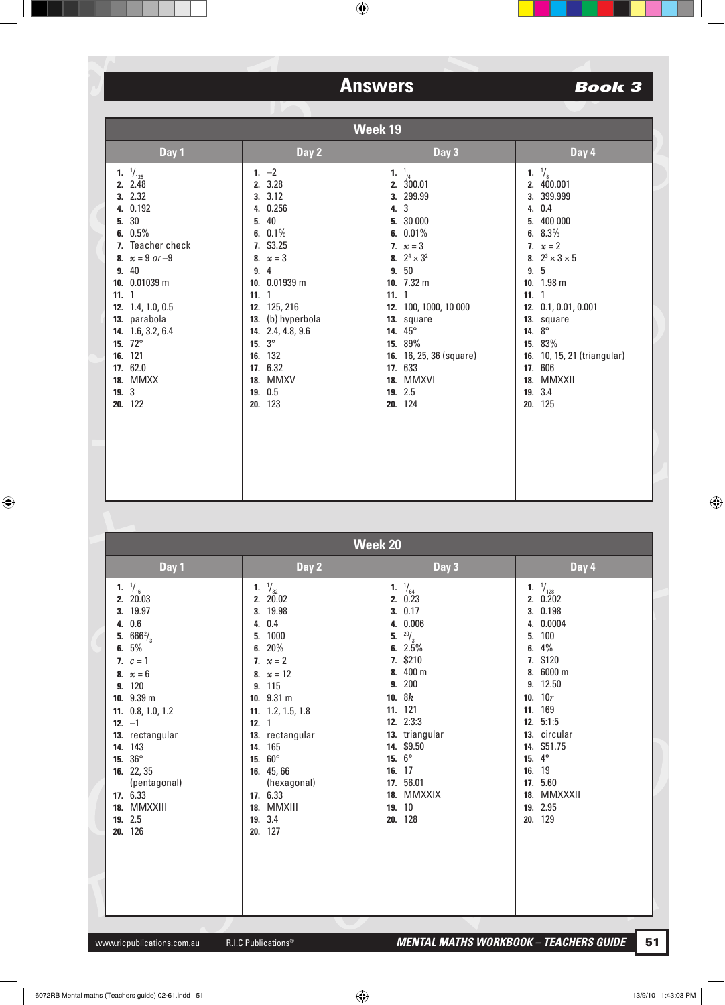## **Book 3**

|      | Week 19                                                                                                                                                                                                                                                                         |                                                                                                                                                                                                                                                                            |                                                                                                                                                                                                                                                                                                                    |                                                                                                                                                                                                                                                                                                                 |  |  |
|------|---------------------------------------------------------------------------------------------------------------------------------------------------------------------------------------------------------------------------------------------------------------------------------|----------------------------------------------------------------------------------------------------------------------------------------------------------------------------------------------------------------------------------------------------------------------------|--------------------------------------------------------------------------------------------------------------------------------------------------------------------------------------------------------------------------------------------------------------------------------------------------------------------|-----------------------------------------------------------------------------------------------------------------------------------------------------------------------------------------------------------------------------------------------------------------------------------------------------------------|--|--|
|      | Day 1                                                                                                                                                                                                                                                                           | Day 2                                                                                                                                                                                                                                                                      | Day 3                                                                                                                                                                                                                                                                                                              | Day 4                                                                                                                                                                                                                                                                                                           |  |  |
| 11.1 | 1. $\frac{1}{125}$<br>2. 2.48<br>3. 2.32<br>4. 0.192<br>5. 30<br>6. $0.5\%$<br>7. Teacher check<br>8. $x = 9$ or -9<br>9. 40<br>10. 0.01039 m<br>12. 1.4, 1.0, 0.5<br>13. parabola<br>14. 1.6, 3.2, 6.4<br>15. 72°<br>16. 121<br>17. 62.0<br><b>18. MMXX</b><br>19.3<br>20. 122 | 1. $-2$<br>2. 3.28<br>3.3.12<br>4. 0.256<br>40<br>5.<br>6. $0.1\%$<br>7. \$3.25<br>8. $x = 3$<br>9.4<br>10. 0.01939 m<br>11.1<br>12. 125, 216<br>13. (b) hyperbola<br>14. 2.4, 4.8, 9.6<br>15. $3^{\circ}$<br>16. 132<br>17. 6.32<br><b>18. MMXV</b><br>19. 0.5<br>20. 123 | $\frac{1}{4}$<br>1.<br>2. 300.01<br>3. 299.99<br>$\mathbf{3}$<br>4.<br>5. 30 000<br>6. $0.01\%$<br>7. $x = 3$<br>8. $2^4 \times 3^2$<br>9.50<br>10. $7.32 \text{ m}$<br>11.1<br>12. 100, 1000, 10 000<br>13. square<br>14. 45°<br>15. 89%<br>16. 16, 25, 36 (square)<br>17. 633<br>18. MMXVI<br>19. 2.5<br>20. 124 | 1. $\frac{1}{8}$<br>2. 400.001<br>3. 399.999<br>4. 0.4<br>5. 400 000<br>6. $8.\overline{3}\%$<br>7. $x = 2$<br>8. $2^3 \times 3 \times 5$<br>9.5<br>10. 1.98 m<br>11.1<br>12. 0.1, 0.01, 0.001<br>13. square<br>14. 8°<br>15. 83%<br>16. 10, 15, 21 (triangular)<br>17. 606<br>18. MMXXII<br>19. 3.4<br>20. 125 |  |  |

| <b>Week 20</b>                                                                                                                                                                                                                                                                                     |                                                                                                                                                                                                                                                                                                    |                                                                                                                                                                                                                                                                                       |                                                                                                                                                                                                                                                                       |  |
|----------------------------------------------------------------------------------------------------------------------------------------------------------------------------------------------------------------------------------------------------------------------------------------------------|----------------------------------------------------------------------------------------------------------------------------------------------------------------------------------------------------------------------------------------------------------------------------------------------------|---------------------------------------------------------------------------------------------------------------------------------------------------------------------------------------------------------------------------------------------------------------------------------------|-----------------------------------------------------------------------------------------------------------------------------------------------------------------------------------------------------------------------------------------------------------------------|--|
| Day 1                                                                                                                                                                                                                                                                                              | Day 2                                                                                                                                                                                                                                                                                              | Day 3                                                                                                                                                                                                                                                                                 | Day 4                                                                                                                                                                                                                                                                 |  |
| 1. $\frac{1}{16}$<br>2. 20.03<br>3. 19.97<br>4. 0.6<br>5. $666\frac{2}{3}$<br>6. $5%$<br>7. $c = 1$<br>8. $x = 6$<br>9. 120<br>10. 9.39 m<br>11. 0.8, 1.0, 1.2<br>12. $-1$<br>13. rectangular<br>14. 143<br>15. 36°<br>16. 22, 35<br>(pentagonal)<br>17. 6.33<br>18. MMXXIII<br>19. 2.5<br>20. 126 | 1. $\frac{1}{32}$<br>2. 20.02<br>3. 19.98<br>0.4<br>4.<br>1000<br>5.<br>20%<br>6.<br>7. $x = 2$<br>8. $x = 12$<br>9. 115<br>10. 9.31 m<br>11. 1.2, 1.5, 1.8<br>12.1<br>13. rectangular<br>14. 165<br>$60^\circ$<br>15.<br>16. 45,66<br>(hexagonal)<br>17. 6.33<br>18. MMXIII<br>19. 3.4<br>20. 127 | 1. $\frac{1}{64}$<br>2.0.23<br>3.0.17<br>0.006<br>4.<br>$^{20}/_3$<br>5.<br>2.5%<br>6.<br>7. \$210<br>400 m<br>8.<br>200<br>9.<br>10.8k<br>11. 121<br>12. 2:3:3<br>13. triangular<br>14. \$9.50<br>15. $6^{\circ}$<br>17<br>16.<br>56.01<br>17.<br>MMXXIX<br>18.<br>19. 10<br>20. 128 | 1. $\frac{1}{128}$<br>2. 0.202<br>3. 0.198<br>4. 0.0004<br>5. 100<br>6. $4\%$<br>7. \$120<br>8. 6000 m<br>9. 12.50<br>10. $10r$<br>11. 169<br>12. 5:1:5<br>13. circular<br>14. \$51.75<br>15. $4^{\circ}$<br>16. 19<br>17. 5.60<br>18. MMXXXII<br>19. 2.95<br>20. 129 |  |

R.I.C Publications<sup>®</sup>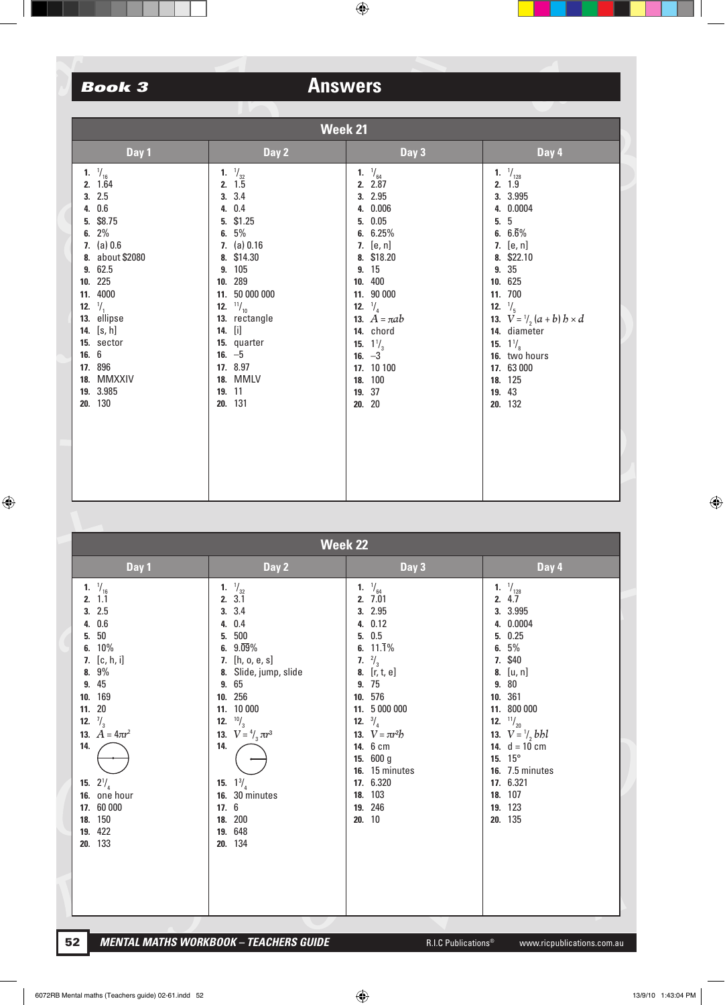| Week 21                                                                                                                                                                                                                                                                     |  |                                                                                                                                                                                                                                                                                |  |                                                                                                                                                                                                                                                                                                |  |                                                                                                                                                                                                                                                                                                                      |  |
|-----------------------------------------------------------------------------------------------------------------------------------------------------------------------------------------------------------------------------------------------------------------------------|--|--------------------------------------------------------------------------------------------------------------------------------------------------------------------------------------------------------------------------------------------------------------------------------|--|------------------------------------------------------------------------------------------------------------------------------------------------------------------------------------------------------------------------------------------------------------------------------------------------|--|----------------------------------------------------------------------------------------------------------------------------------------------------------------------------------------------------------------------------------------------------------------------------------------------------------------------|--|
| Day 1                                                                                                                                                                                                                                                                       |  | Day 2                                                                                                                                                                                                                                                                          |  | Day 3                                                                                                                                                                                                                                                                                          |  | Day 4                                                                                                                                                                                                                                                                                                                |  |
| 1. $\frac{1}{16}$<br>2. 1.64<br>3.2.5<br>4. 0.6<br>5. \$8.75<br>6. $2\%$<br>7. $(a) 0.6$<br>8. about \$2080<br>9. 62.5<br>10. 225<br>11. 4000<br>$\frac{1}{1}$<br>12.<br>13. ellipse<br>14. $[s, h]$<br>15. sector<br>16.6<br>17. 896<br>18. MMXXIV<br>19. 3.985<br>20. 130 |  | 1. $\frac{1}{32}$<br>2.1.5<br>3.3.4<br>4. 0.4<br>5. \$1.25<br>6. $5\%$<br>7. $(a) 0.16$<br>8. \$14.30<br>9. 105<br>10. 289<br>11. 50 000 000<br><b>12.</b> $\frac{11}{10}$<br>13. rectangle<br>14. [i]<br>15. quarter<br>16. $-5$<br>17. 8.97<br>18. MMLV<br>19. 11<br>20. 131 |  | 1. $\frac{1}{64}$<br>2. 2.87<br>3. 2.95<br>4. 0.006<br>5. 0.05<br>6. $6.25%$<br>7. $[e, n]$<br>8. \$18.20<br>9. 15<br>10. 400<br>11. 90 000<br><b>12.</b> $\frac{1}{4}$<br><b>13.</b> $A = \pi ab$<br>14. chord<br>15. $1\frac{1}{3}$<br>16. $-3$<br>17. 10 100<br>18. 100<br>19. 37<br>20. 20 |  | 1. $\frac{1}{128}$<br>2. 1.9<br>3. 3.995<br>4. 0.0004<br>5.5<br>6. $6.\overline{6}\%$<br>7. [e, n]<br>8. \$22.10<br>9. 35<br>10. 625<br>11. 700<br>12. $\frac{1}{5}$<br>13. $V = \frac{1}{2}(a + b) b \times d$<br>14. diameter<br>15. $1\frac{1}{8}$<br>16. two hours<br>17. 63 000<br>18. 125<br>19. 43<br>20. 132 |  |
|                                                                                                                                                                                                                                                                             |  |                                                                                                                                                                                                                                                                                |  |                                                                                                                                                                                                                                                                                                |  |                                                                                                                                                                                                                                                                                                                      |  |

|                     | <b>Week 22</b>                                                                                                                                                                                                                                       |                                                                                                                                                                                                                                                                                                                       |                                                                                                                                                                                                                                                                                                     |                                                                                                                                                                                                                                                                                                                   |  |
|---------------------|------------------------------------------------------------------------------------------------------------------------------------------------------------------------------------------------------------------------------------------------------|-----------------------------------------------------------------------------------------------------------------------------------------------------------------------------------------------------------------------------------------------------------------------------------------------------------------------|-----------------------------------------------------------------------------------------------------------------------------------------------------------------------------------------------------------------------------------------------------------------------------------------------------|-------------------------------------------------------------------------------------------------------------------------------------------------------------------------------------------------------------------------------------------------------------------------------------------------------------------|--|
|                     | Day 1                                                                                                                                                                                                                                                | Day 2                                                                                                                                                                                                                                                                                                                 | Day 3                                                                                                                                                                                                                                                                                               | Day 4                                                                                                                                                                                                                                                                                                             |  |
| 5.<br>11. 20<br>14. | 1. $\frac{1}{16}$<br>2.11<br>3.2.5<br>4. 0.6<br>$50\,$<br>6. 10%<br>7. [c, h, i]<br>8. 9%<br>9. 45<br>10. 169<br>12. $\frac{7}{3}$<br>13. $A = 4\pi r^2$<br><b>15.</b> $2\frac{1}{4}$<br>16. one hour<br>17. 60 000<br>18. 150<br>19. 422<br>20. 133 | 1. $\frac{1}{32}$<br>2. 3.1<br>3.3.4<br>4. 0.4<br>500<br>5.<br>6. $9.\overline{09}\%$<br>7. [h, o, e, s]<br>8. Slide, jump, slide<br>9. 65<br>10. 256<br>11. 10 000<br>12. $^{10}/_3$<br>13. $V = \frac{4}{3} \pi r^3$<br>14.<br><b>15.</b> $1\frac{3}{4}$<br>16. 30 minutes<br>17.6<br>18. 200<br>19. 648<br>20. 134 | 1. $\frac{1}{64}$<br>2. 7.01<br>3. 2.95<br>4. 0.12<br>5. 0.5<br>6. $11.\overline{1}\%$<br>7. $\frac{2}{3}$<br>8. [r, t, e]<br>9. 75<br>10. 576<br>11. 5 000 000<br>12. $\frac{3}{4}$<br>13. $V = \pi r^2 b$<br>14. 6 cm<br>15. 600 g<br>16. 15 minutes<br>17. 6.320<br>18. 103<br>19. 246<br>20. 10 | 1. $\frac{1}{128}$<br>2. 4.7<br>3. 3.995<br>4. 0.0004<br>5. 0.25<br>5%<br>6.<br>7. \$40<br>[u, n]<br>8.<br>80<br>9.<br>10. 361<br>11. 800 000<br>$^{11}/_{20}$<br>12.<br>13. $V = \frac{1}{2} bbl$<br>14. $d = 10$ cm<br>15. $15^{\circ}$<br><b>16.</b> 7.5 minutes<br>17. 6.321<br>18. 107<br>19. 123<br>20. 135 |  |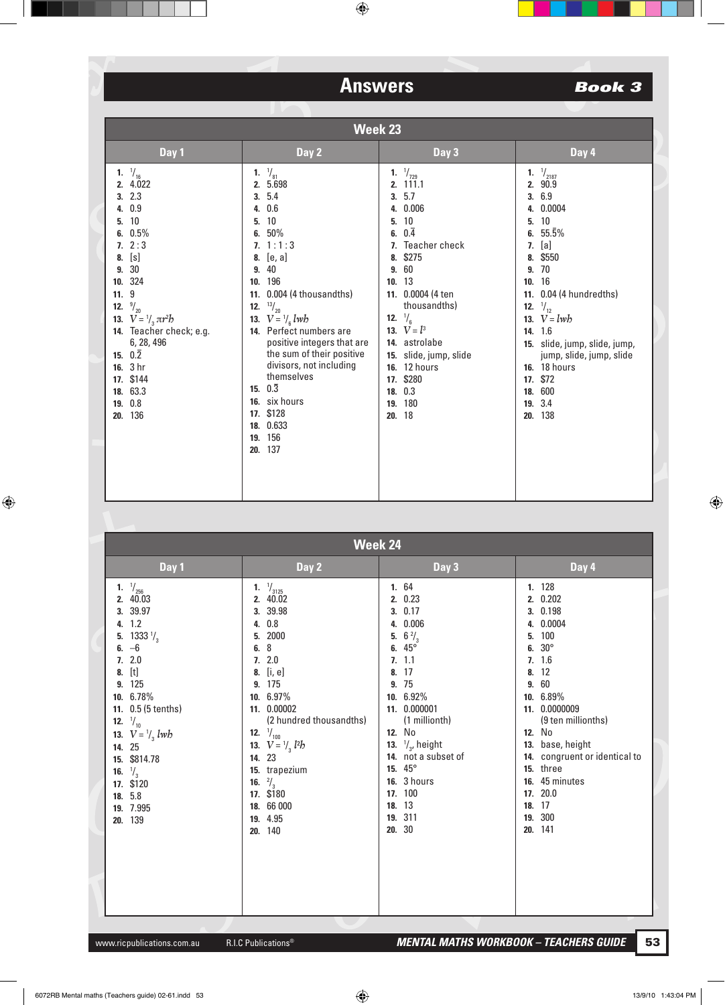| <b>Week 23</b>                                                                                                                                                                                                                                                                                                   |                       |                                                                                                                                                                                                                                                                                                                                                                                                                     |                                                                                                                                                                                                                                                                                                                                                          |                                                                                                                                                                                                                                                                                                                                                                |  |
|------------------------------------------------------------------------------------------------------------------------------------------------------------------------------------------------------------------------------------------------------------------------------------------------------------------|-----------------------|---------------------------------------------------------------------------------------------------------------------------------------------------------------------------------------------------------------------------------------------------------------------------------------------------------------------------------------------------------------------------------------------------------------------|----------------------------------------------------------------------------------------------------------------------------------------------------------------------------------------------------------------------------------------------------------------------------------------------------------------------------------------------------------|----------------------------------------------------------------------------------------------------------------------------------------------------------------------------------------------------------------------------------------------------------------------------------------------------------------------------------------------------------------|--|
| Day 1                                                                                                                                                                                                                                                                                                            |                       | Day 2                                                                                                                                                                                                                                                                                                                                                                                                               | Day 3                                                                                                                                                                                                                                                                                                                                                    | Day 4                                                                                                                                                                                                                                                                                                                                                          |  |
| 1. $\frac{1}{16}$<br>2. 4.022<br>3.2.3<br>4. 0.9<br>10<br>5.<br>6. $0.5\%$<br>7.2:3<br>$8.$ [s]<br>9. 30<br>10. 324<br>11.9<br>12. $\frac{9}{20}$<br>13. $V = \frac{1}{3} \pi r^2 b$<br>14. Teacher check; e.g.<br>6, 28, 496<br>15. $0.\overline{2}$<br>16. 3 hr<br>17. \$144<br>18. 63.3<br>19. 0.8<br>20. 136 | 4.<br>5.<br>9.<br>12. | 1. $\frac{1}{81}$<br>2. 5.698<br>3.5.4<br>0.6<br>10<br>6. $50\%$<br>7. 1:1:3<br>8. $[e, a]$<br>40<br>10. 196<br>11. 0.004 (4 thousandths)<br>$^{13/20}$<br><b>13.</b> $V = \frac{1}{6} lwh$<br>14. Perfect numbers are<br>positive integers that are<br>the sum of their positive<br>divisors, not including<br>themselves<br>15. $0.\overline{3}$<br>16. six hours<br>17. \$128<br>18. 0.633<br>19. 156<br>20. 137 | $\frac{1}{729}$<br>1.<br>2. 111.1<br>3.5.7<br>0.006<br>4.<br>10<br>5.<br>$0.\overline{4}$<br>6.<br>7. Teacher check<br>\$275<br>8.<br>9. 60<br>13<br>10.<br>11. 0.0004 (4 ten<br>thousandths)<br><b>12.</b> $\frac{1}{6}$<br>13. $V = l^3$<br>14. astrolabe<br>15. slide, jump, slide<br><b>16.</b> 12 hours<br>17. \$280<br>18. 0.3<br>19. 180<br>20.18 | 1. $\frac{1}{2187}$<br>2. 90.9<br>3. 6.9<br>4. 0.0004<br>10<br>5.<br>6. $55.\overline{5}\%$<br><b>7.</b> [a]<br>\$550<br>8.<br>9. 70<br>10.16<br>11. 0.04 (4 hundredths)<br>$\frac{1}{12}$<br>12.<br>13. $V = lwh$<br>14. 1.6<br>15. slide, jump, slide, jump,<br>jump, slide, jump, slide<br><b>16.</b> 18 hours<br>17. \$72<br>18. 600<br>19. 3.4<br>20. 138 |  |

| <b>Week 24</b>                                                                                                                                                                                                                                                                                                      |                                                                                                                                                                                                                                                                                                                                             |                                                                                                                                                                                                                                                                                                                          |                                                                                                                                                                                                                                                                                                   |  |
|---------------------------------------------------------------------------------------------------------------------------------------------------------------------------------------------------------------------------------------------------------------------------------------------------------------------|---------------------------------------------------------------------------------------------------------------------------------------------------------------------------------------------------------------------------------------------------------------------------------------------------------------------------------------------|--------------------------------------------------------------------------------------------------------------------------------------------------------------------------------------------------------------------------------------------------------------------------------------------------------------------------|---------------------------------------------------------------------------------------------------------------------------------------------------------------------------------------------------------------------------------------------------------------------------------------------------|--|
| Day 1                                                                                                                                                                                                                                                                                                               | Day 2                                                                                                                                                                                                                                                                                                                                       | Day 3                                                                                                                                                                                                                                                                                                                    | Day 4                                                                                                                                                                                                                                                                                             |  |
| 1. $\frac{1}{256}$<br>2. 40.03<br>3. 39.97<br>4. 1.2<br>5. 1333 $\frac{1}{3}$<br>6. $-6$<br>7.2.0<br>$8.$ [t]<br>9. 125<br>10. 6.78%<br>11. 0.5 (5 tenths)<br>12. $\frac{1}{10}$<br>13. $V = \frac{1}{3} lwh$<br>14. 25<br>15. \$814.78<br><b>16.</b> $\frac{1}{3}$<br>17. \$120<br>18. 5.8<br>19. 7.995<br>20. 139 | 1. $\frac{1}{3125}$<br>2. 40.02<br>3. 39.98<br>4. 0.8<br>2000<br>5.<br>8<br>6.<br>7.2.0<br>8. [i, e]<br>9. 175<br>10. 6.97%<br>11. 0.00002<br>(2 hundred thousandths)<br>12. $\frac{1}{100}$<br><b>13.</b> $V = \frac{1}{3} l^2 b$<br>14. 23<br>15. trapezium<br><b>16.</b> $\frac{2}{3}$<br>17. \$180<br>18. 66 000<br>19. 4.95<br>20. 140 | 1. 64<br>2. 0.23<br>3.0.17<br>4. 0.006<br>$6\frac{2}{3}$<br>5.<br>6. $45^{\circ}$<br>7.11<br>- 17<br>8.<br>9. 75<br>10. 6.92%<br>11. 0.000001<br>(1 millionth)<br>12. No<br><b>13.</b> $\frac{1}{3}$ , height<br>14. not a subset of<br>15. $45^{\circ}$<br><b>16.</b> 3 hours<br>17. 100<br>18. 13<br>19. 311<br>20. 30 | 1. 128<br>2. 0.202<br>3. 0.198<br>4. 0.0004<br>5. 100<br>$30^\circ$<br>6.<br>7.16<br>8. 12<br>9. 60<br>10. 6.89%<br>11. 0.0000009<br>(9 ten millionths)<br>12. No<br>13. base, height<br>14. congruent or identical to<br>15. three<br>16. 45 minutes<br>17. 20.0<br>18. 17<br>19. 300<br>20. 141 |  |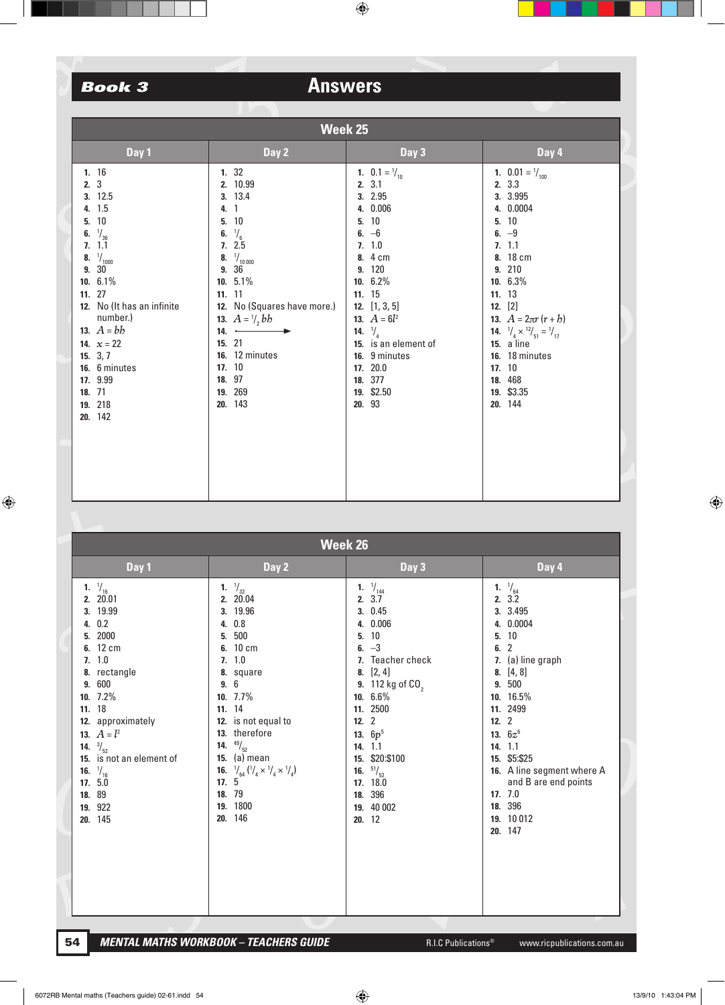| Week 25                                                                                                                                                                                                                                                                                                   |                                                                                                                                                                                                                                                                            |                                                                                                                                                                                                                                                                                              |                                                                                                                                                                                                                                                                                                                             |  |  |  |  |
|-----------------------------------------------------------------------------------------------------------------------------------------------------------------------------------------------------------------------------------------------------------------------------------------------------------|----------------------------------------------------------------------------------------------------------------------------------------------------------------------------------------------------------------------------------------------------------------------------|----------------------------------------------------------------------------------------------------------------------------------------------------------------------------------------------------------------------------------------------------------------------------------------------|-----------------------------------------------------------------------------------------------------------------------------------------------------------------------------------------------------------------------------------------------------------------------------------------------------------------------------|--|--|--|--|
| Day 1                                                                                                                                                                                                                                                                                                     | Day 2                                                                                                                                                                                                                                                                      | Day 3                                                                                                                                                                                                                                                                                        | Day 4                                                                                                                                                                                                                                                                                                                       |  |  |  |  |
| 1.16<br>2.3<br>3. 12.5<br>4. 1.5<br>10<br>5.<br>$\frac{1}{36}$<br>6.<br>1.1<br>7 <sub>1</sub><br>$\frac{1}{1000}$<br>8.<br>9.30<br>10. 6.1%<br>11.27<br>12. No (It has an infinite<br>number.)<br>13. $A = bb$<br>14. $x = 22$<br>15. $3, 7$<br>16. 6 minutes<br>17. 9.99<br>18. 71<br>19. 218<br>20. 142 | 1.32<br>2. 10.99<br>3. 13.4<br>4. 1<br>5. 10<br>6. $\frac{1}{6}$<br>7.2.5<br>8. $\frac{1}{10000}$<br>9. 36<br>10. $5.1\%$<br>11. 11<br>12. No (Squares have more.)<br>13. $A = \frac{1}{2}bb$<br>14.<br>15. 21<br>16. 12 minutes<br>17. 10<br>18. 97<br>19. 269<br>20. 143 | 1. $0.1 = \frac{1}{10}$<br>3.1<br>2.<br>3. 2.95<br>4. 0.006<br>5. 10<br>6. $-6$<br>7.1.0<br>8. 4 cm<br>9. 120<br>10. 6.2%<br>11. 15<br>12. $[1, 3, 5]$<br><b>13.</b> $A = 6l^2$<br>14. $\frac{1}{4}$<br>15. is an element of<br>16. 9 minutes<br>17. 20.0<br>18. 377<br>19. \$2.50<br>20. 93 | 1. $0.01 = \frac{1}{100}$<br>2. 3.3<br>3. 3.995<br>4. 0.0004<br>5. 10<br>6. $-9$<br>7.11<br>8. 18 cm<br>9. 210<br>10. 6.3%<br>11. 13<br>12. $[2]$<br>13. $A = 2\pi r (r + b)$<br><b>14.</b> $\frac{1}{4} \times \frac{12}{51} = \frac{1}{17}$<br>15. a line<br>16. 18 minutes<br>17. 10<br>18. 468<br>19. \$3.35<br>20. 144 |  |  |  |  |

|                                                                      | Week 26                                                                                                                                                                                                                                                   |                                                                                                                                                                                                                                                                                                                                                             |                                                                                                                                                                                                                                                                                                            |                                                                                                                                                                                                                                                                                                                           |  |  |
|----------------------------------------------------------------------|-----------------------------------------------------------------------------------------------------------------------------------------------------------------------------------------------------------------------------------------------------------|-------------------------------------------------------------------------------------------------------------------------------------------------------------------------------------------------------------------------------------------------------------------------------------------------------------------------------------------------------------|------------------------------------------------------------------------------------------------------------------------------------------------------------------------------------------------------------------------------------------------------------------------------------------------------------|---------------------------------------------------------------------------------------------------------------------------------------------------------------------------------------------------------------------------------------------------------------------------------------------------------------------------|--|--|
|                                                                      | Day 1                                                                                                                                                                                                                                                     | Day 2                                                                                                                                                                                                                                                                                                                                                       | Day 3                                                                                                                                                                                                                                                                                                      | Day 4                                                                                                                                                                                                                                                                                                                     |  |  |
| 2.<br>3.<br>4.<br>5.<br>6.<br>7 <sub>1</sub><br>11. 18<br>14.<br>16. | 1. $\frac{1}{16}$<br>20.01<br>19.99<br>0.2<br>2000<br>12 cm<br>1.0<br>8. rectangle<br>9. 600<br>10. $7.2\%$<br>12. approximately<br>13. $A = l^2$<br>$^{3}/_{52}$<br>15. is not an element of<br>$\frac{1}{16}$<br>17.5.0<br>18. 89<br>19. 922<br>20. 145 | 1. $\frac{1}{32}$<br>2. 20.04<br>3. 19.96<br>0.8<br>4.<br>500<br>5.<br>6. 10 cm<br>7.1.0<br>8. square<br>9.6<br>10. 7.7%<br>11. 14<br>12. is not equal to<br>13. therefore<br>$^{49}/_{52}$<br>14.<br>15. $(a)$ mean<br><b>16.</b> $\frac{1}{64}$ $\left(\frac{1}{4} \times \frac{1}{4} \times \frac{1}{4}\right)$<br>17.5<br>18. 79<br>19. 1800<br>20. 146 | $\frac{1}{144}$<br>1.<br>2.<br>3.7<br>3.0.45<br>4. 0.006<br>10<br>5.<br>6. $-3$<br>7. Teacher check<br>8. $[2, 4]$<br>9. 112 kg of CO <sub>2</sub><br>10. 6.6%<br>11. 2500<br>12.2<br>13. $6p^5$<br>14. 1.1<br>\$20:\$100<br>15.<br>$^{51}/_{52}$<br>16.<br>17. 18.0<br>396<br>18.<br>19. 40 002<br>20. 12 | $^{1}/_{64}$<br>1.<br>2.3.2<br>3. 3.495<br>4. 0.0004<br>10<br>5.<br>$\overline{2}$<br>6.<br>7. (a) line graph<br>[4, 8]<br>8.<br>500<br>9.<br>10. 16.5%<br>11. 2499<br>12.2<br>13. $6z^6$<br>14.11<br>\$5:\$25<br>15.<br>16. A line segment where A<br>and B are end points<br>17.7.0<br>18. 396<br>19. 10 012<br>20. 147 |  |  |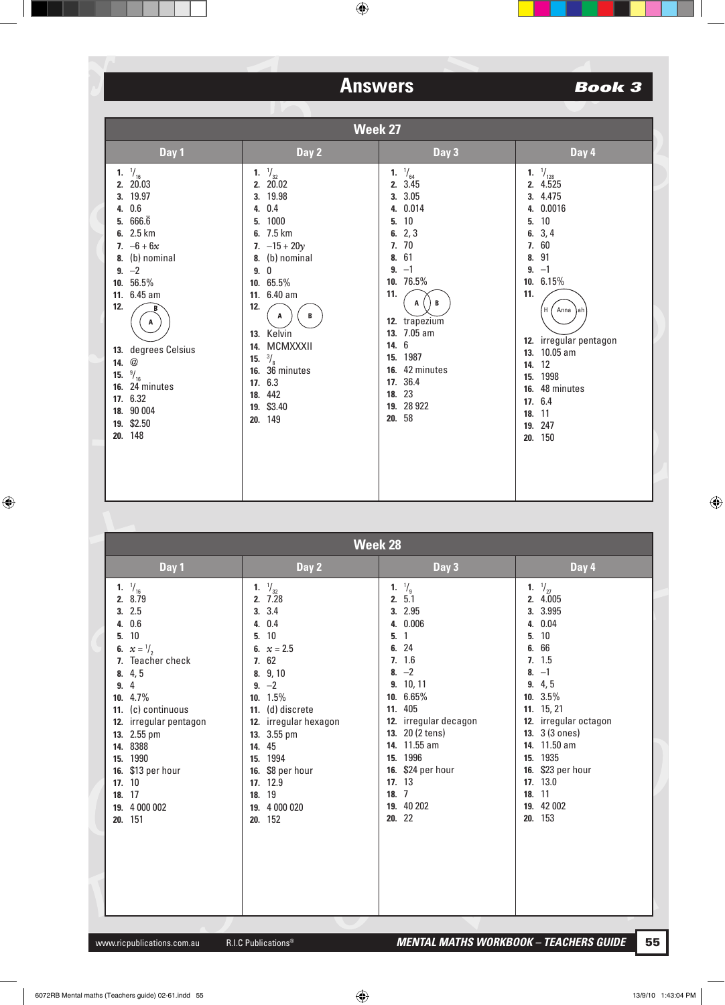| Week 27                                                                                                                                                                                                                                                                                                     |                                                                                                                                                                                                                                                                                           |                                                                                                                                                                                                                                                                |                                                                                                                                                                                                                                                                             |  |
|-------------------------------------------------------------------------------------------------------------------------------------------------------------------------------------------------------------------------------------------------------------------------------------------------------------|-------------------------------------------------------------------------------------------------------------------------------------------------------------------------------------------------------------------------------------------------------------------------------------------|----------------------------------------------------------------------------------------------------------------------------------------------------------------------------------------------------------------------------------------------------------------|-----------------------------------------------------------------------------------------------------------------------------------------------------------------------------------------------------------------------------------------------------------------------------|--|
| Day 1                                                                                                                                                                                                                                                                                                       | Day 2                                                                                                                                                                                                                                                                                     | Day 3                                                                                                                                                                                                                                                          | Day 4                                                                                                                                                                                                                                                                       |  |
| 1. $\frac{1}{16}$<br>2. 20.03<br>3. 19.97<br>4. 0.6<br>5. $666.\overline{6}$<br>6. 2.5 km<br>7. $-6 + 6x$<br>8. (b) nominal<br>9. $-2$<br>10. 56.5%<br>11. 6.45 am<br>12.<br>A<br>13. degrees Celsius<br>14. $@$<br>15. $\frac{9}{16}$<br>16. 24 minutes<br>17. 6.32<br>18. 90 004<br>19. \$2.50<br>20. 148 | 1. $\frac{1}{32}$<br>2.20.02<br>3. 19.98<br>4. 0.4<br>5. 1000<br>6. 7.5 km<br>7. $-15 + 20y$<br>8. (b) nominal<br>9.0<br>10. $65.5\%$<br>11. 6.40 am<br>12.<br>B<br>A<br>13. Kelvin<br>14. MCMXXXII<br>15. $\frac{3}{8}$<br>16. 36 minutes<br>17. 6.3<br>18. 442<br>19. \$3.40<br>20. 149 | $\frac{1}{64}$<br>1.<br>2. 3.45<br>3. 3.05<br>4. 0.014<br>10<br>5.<br>6. $2, 3$<br>7.70<br>8. 61<br>$9. -1$<br>10. 76.5%<br>11.<br>В<br>A<br>12. trapezium<br>13. 7.05 am<br>14. 6<br>15. 1987<br>16. 42 minutes<br>17. 36.4<br>18. 23<br>19. 28 922<br>20. 58 | 1. $\frac{1}{128}$<br>2. 4.525<br>3. 4.475<br>4. 0.0016<br>5. 10<br>6. $3, 4$<br>7. 60<br>8. 91<br>$9. -1$<br>10. 6.15%<br>11.<br>H<br>Anna)ah<br>12. irregular pentagon<br>13. 10.05 am<br>14. 12<br>15. 1998<br>16. 48 minutes<br>17. 6.4<br>18. 11<br>19. 247<br>20. 150 |  |

| <b>Week 28</b>                                                                                                                                                                                                                                                                                         |                                                                                                                                                                                                                                                                                     |                                                                                                                                                                                                                                                                                    |                                                                                                                                                                                                                                                                              |  |  |
|--------------------------------------------------------------------------------------------------------------------------------------------------------------------------------------------------------------------------------------------------------------------------------------------------------|-------------------------------------------------------------------------------------------------------------------------------------------------------------------------------------------------------------------------------------------------------------------------------------|------------------------------------------------------------------------------------------------------------------------------------------------------------------------------------------------------------------------------------------------------------------------------------|------------------------------------------------------------------------------------------------------------------------------------------------------------------------------------------------------------------------------------------------------------------------------|--|--|
| Day 1                                                                                                                                                                                                                                                                                                  | Day 2                                                                                                                                                                                                                                                                               | Day 3                                                                                                                                                                                                                                                                              | Day 4                                                                                                                                                                                                                                                                        |  |  |
| 1. $\frac{1}{16}$<br>2. 8.79<br>3.2.5<br>4. 0.6<br>10<br>5.<br>6. $x = \frac{1}{2}$<br>7. Teacher check<br>8.4,5<br>4<br>9.<br>10. $4.7\%$<br>11. (c) continuous<br>12. irregular pentagon<br>13. 2.55 pm<br>14. 8388<br>15. 1990<br>16. \$13 per hour<br>17. 10<br>18. 17<br>19. 4 000 002<br>20. 151 | 1. $\frac{1}{32}$<br>2.7.28<br>3.3.4<br>4. 0.4<br>10<br>5.<br>6. $x = 2.5$<br>7.62<br>8. 9, 10<br>9. $-2$<br>10. 1.5%<br>11. (d) discrete<br>12. irregular hexagon<br>13. 3.55 pm<br>45<br>14.<br>15. 1994<br>16. \$8 per hour<br>17. 12.9<br>18. 19<br>4 000 020<br>19.<br>20. 152 | 1. $\frac{1}{9}$<br>2.5.1<br>3. 2.95<br>4. 0.006<br>$\overline{1}$<br>5.<br>6. 24<br>7.16<br>8. $-2$<br>9. 10, 11<br>10. 6.65%<br>11. 405<br>12. irregular decagon<br>13. 20 (2 tens)<br>11.55 am<br>14.<br>15. 1996<br>16. \$24 per hour<br>17. 13<br>18.7<br>19. 40 202<br>20.22 | 1. $\frac{1}{27}$<br>2.4.005<br>3. 3.995<br>4. 0.04<br>5.10<br>66<br>6.<br>7.1.5<br>$-1$<br>8.<br>9.4,5<br>10. 3.5%<br>11. 15, 21<br>12. irregular octagon<br>13. 3 (3 ones)<br>14. 11.50 am<br>15. 1935<br>16. \$23 per hour<br>17. 13.0<br>18. 11<br>19. 42 002<br>20. 153 |  |  |
|                                                                                                                                                                                                                                                                                                        |                                                                                                                                                                                                                                                                                     |                                                                                                                                                                                                                                                                                    |                                                                                                                                                                                                                                                                              |  |  |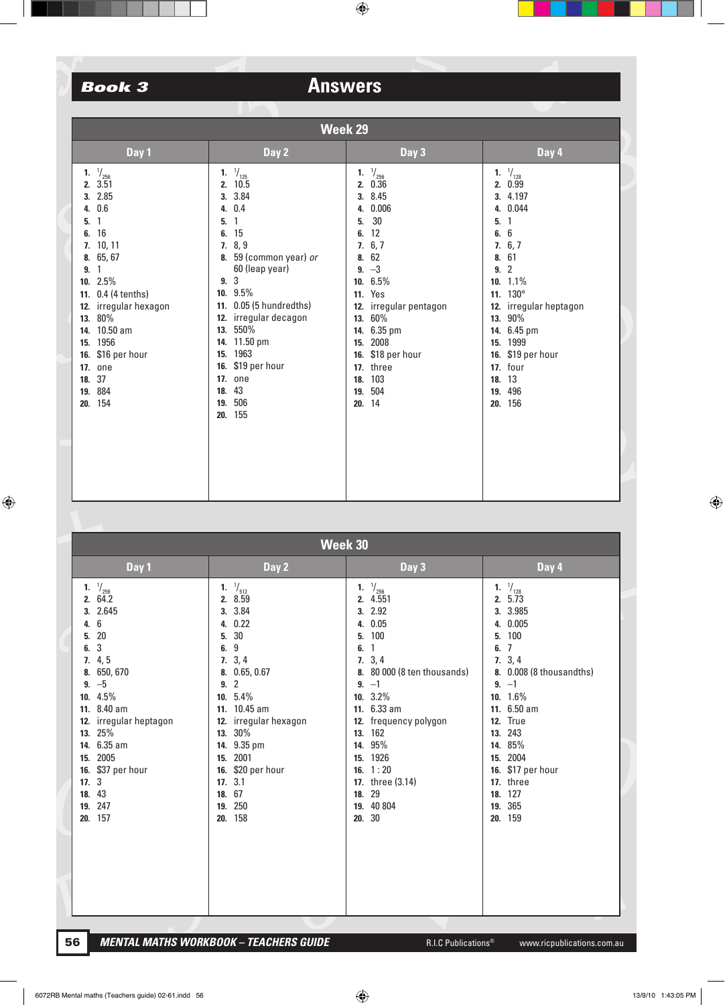|                                                  | Week 29                                                                                                                                                                                                                                                    |                                                                                                                                                                                                                                                                                                                              |                                                       |                                                                                                                                                                                                                                         |           |                                                                                                                                                                                                                                                    |  |
|--------------------------------------------------|------------------------------------------------------------------------------------------------------------------------------------------------------------------------------------------------------------------------------------------------------------|------------------------------------------------------------------------------------------------------------------------------------------------------------------------------------------------------------------------------------------------------------------------------------------------------------------------------|-------------------------------------------------------|-----------------------------------------------------------------------------------------------------------------------------------------------------------------------------------------------------------------------------------------|-----------|----------------------------------------------------------------------------------------------------------------------------------------------------------------------------------------------------------------------------------------------------|--|
|                                                  | Day 1                                                                                                                                                                                                                                                      | Day 2                                                                                                                                                                                                                                                                                                                        |                                                       | Day 3                                                                                                                                                                                                                                   | Day 4     |                                                                                                                                                                                                                                                    |  |
| 4.<br>5.<br>6.<br>9.<br>15.<br>16.<br>18.<br>20. | <b>1.</b> $\frac{1}{256}$<br>2.3.51<br>3. 2.85<br>0.6<br>1<br>16<br>7. 10, 11<br>8. 65, 67<br>1<br>10. $2.5%$<br>11. 0.4 (4 tenths)<br>12. irregular hexagon<br>13. 80%<br>14. 10.50 am<br>1956<br>\$16 per hour<br><b>17. one</b><br>37<br>19. 884<br>154 | 1. $\frac{1}{125}$<br>2. 10.5<br>3. 3.84<br>4. 0.4<br>$\mathbf{1}$<br>5.<br>6. 15<br>7.8,9<br>8. 59 (common year) or<br>60 (leap year)<br>9.3<br>10. 9.5%<br>11. 0.05 (5 hundredths)<br>12. irregular decagon<br>13. 550%<br>14. 11.50 pm<br>15. 1963<br>16. \$19 per hour<br><b>17. one</b><br>18. 43<br>19. 506<br>20. 155 | 1.<br>4.<br>5.<br>6.<br>7.<br>8.<br>12.<br>13.<br>15. | $\frac{1}{256}$<br>2. 0.36<br>3. 8.45<br>0.006<br>30<br>12<br>6, 7<br>62<br>9. $-3$<br>10. 6.5%<br><b>11.</b> Yes<br>irregular pentagon<br>60%<br>14. 6.35 pm<br>2008<br>16. \$18 per hour<br>17. three<br>18. 103<br>19. 504<br>20. 14 | 8.<br>19. | 1. $\frac{1}{128}$<br>2. 0.99<br>3. 4.197<br>4. 0.044<br>5.1<br>6. 6<br>7.6,7<br>61<br>9.2<br>10. $1.1\%$<br>11. 130°<br>12. irregular heptagon<br>13. 90%<br>14. 6.45 pm<br>15. 1999<br>16. \$19 per hour<br>17. four<br>18. 13<br>496<br>20. 156 |  |

|                                                                          | Week 30                                                                                                                                                                                                                   |                                                                                                                                                                                                                                                                           |                                                                                                                                                                                                                                                                                          |                                                                                                                                                                                                                                                                                                       |  |  |  |
|--------------------------------------------------------------------------|---------------------------------------------------------------------------------------------------------------------------------------------------------------------------------------------------------------------------|---------------------------------------------------------------------------------------------------------------------------------------------------------------------------------------------------------------------------------------------------------------------------|------------------------------------------------------------------------------------------------------------------------------------------------------------------------------------------------------------------------------------------------------------------------------------------|-------------------------------------------------------------------------------------------------------------------------------------------------------------------------------------------------------------------------------------------------------------------------------------------------------|--|--|--|
|                                                                          | Day 1                                                                                                                                                                                                                     | Day 2                                                                                                                                                                                                                                                                     | Day 3                                                                                                                                                                                                                                                                                    | Day 4                                                                                                                                                                                                                                                                                                 |  |  |  |
| 1.<br>2.<br>3.<br>4.<br>5.<br>6.<br>7.<br>8.<br>9.<br>12.<br>15.<br>17.3 | $\frac{\frac{1}{256}}{64.2}$<br>2.645<br>6<br>20<br>3<br>4, 5<br>650, 670<br>$-5$<br>10. 4.5%<br>11. 8.40 am<br>irregular heptagon<br>13. 25%<br>14. 6.35 am<br>2005<br>16. \$37 per hour<br>18. 43<br>19. 247<br>20. 157 | 1. $\frac{1}{512}$<br>2. 8.59<br>3. 3.84<br>4. 0.22<br>5. 30<br>$9\,$<br>6.<br>7.3,4<br>8. 0.65, 0.67<br>9.2<br>10. $5.4\%$<br>11. 10.45 am<br>12. irregular hexagon<br>13. 30%<br>14. 9.35 pm<br>15. 2001<br>16. \$20 per hour<br>17.3.1<br>18. 67<br>19. 250<br>20. 158 | 1. $\frac{1}{256}$<br>2. 4.551<br>3. 2.92<br>4. 0.05<br>100<br>5.<br>6.<br>1<br>7.3,4<br>8. 80 000 (8 ten thousands)<br>$9. -1$<br>10. 3.2%<br>11. 6.33 am<br>12. frequency polygon<br>13. 162<br>14. 95%<br>15. 1926<br>16. $1:20$<br>17. three (3.14)<br>18. 29<br>19. 40 804<br>20.30 | $\frac{1}{128}$<br>1.<br>2.5.73<br>3. 3.985<br>4. 0.005<br>100<br>5.<br>$\overline{7}$<br>6.<br>7.3,4<br>8. 0.008 (8 thousandths)<br>$9. -1$<br>10. 1.6%<br>11. 6.50 am<br><b>12.</b> True<br>13. 243<br>14. 85%<br>2004<br>15.<br>16. \$17 per hour<br>17. three<br>18. 127<br>365<br>19.<br>20. 159 |  |  |  |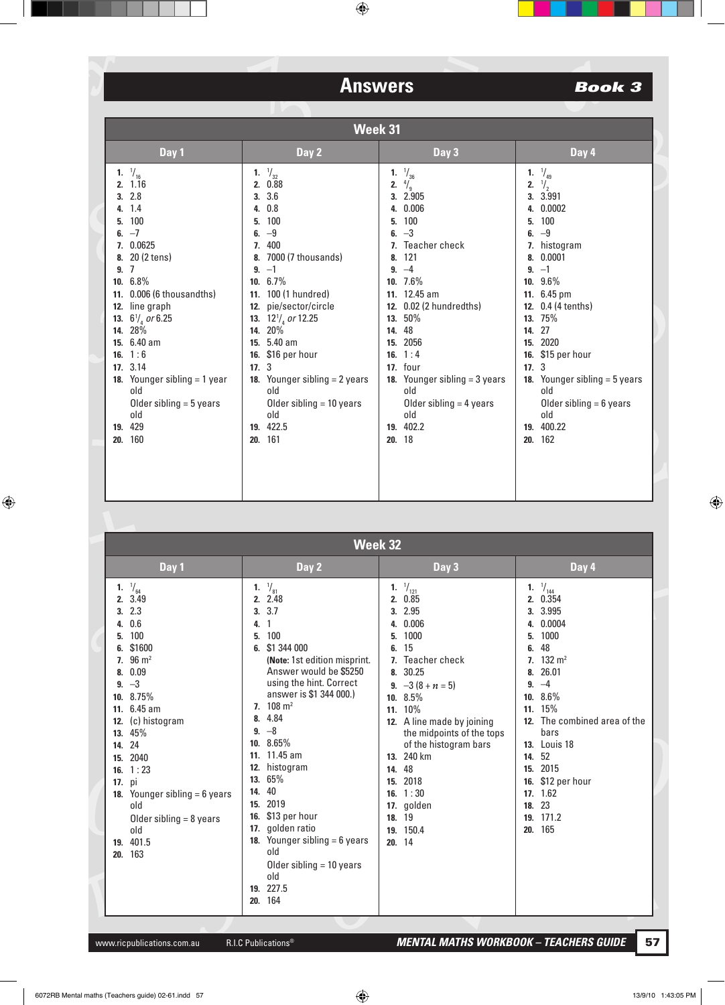| <b>Week 32</b> |                                                                                                                                                                                                                                                                                                                                                                               |                                                                                                                                                                                                                                                                                                                                                                                                                                                                                                                    |                                                                                                                                                                                                                                                                                                                                                                             |                                                                                                                                                                                                                                                                                                                        |  |
|----------------|-------------------------------------------------------------------------------------------------------------------------------------------------------------------------------------------------------------------------------------------------------------------------------------------------------------------------------------------------------------------------------|--------------------------------------------------------------------------------------------------------------------------------------------------------------------------------------------------------------------------------------------------------------------------------------------------------------------------------------------------------------------------------------------------------------------------------------------------------------------------------------------------------------------|-----------------------------------------------------------------------------------------------------------------------------------------------------------------------------------------------------------------------------------------------------------------------------------------------------------------------------------------------------------------------------|------------------------------------------------------------------------------------------------------------------------------------------------------------------------------------------------------------------------------------------------------------------------------------------------------------------------|--|
|                | Day 1                                                                                                                                                                                                                                                                                                                                                                         | Day 2                                                                                                                                                                                                                                                                                                                                                                                                                                                                                                              | Day 3                                                                                                                                                                                                                                                                                                                                                                       | Day 4                                                                                                                                                                                                                                                                                                                  |  |
|                | 1. $\frac{1}{64}$<br>3.49<br>2.<br>2.3<br>3.<br>0.6<br>4.<br>100<br>5.<br>\$1600<br>$96 \text{ m}^2$<br>7.<br>0.09<br>8.<br>$-3$<br>9.<br>10. 8.75%<br>11. 6.45 am<br>(c) histogram<br>12.<br>45%<br>13.<br>24<br>14.<br>2040<br>15.<br>1:23<br>16.<br>17. pi<br><b>18.</b> Younger sibling $= 6$ years<br>old<br>Older sibling $= 8$ years<br>old<br>19. 401.5<br>163<br>20. | $\frac{1}{81}$<br>1.<br>2.48<br>2.<br>3.7<br>3.<br>4.<br>100<br>5.<br>\$1 344 000<br>6.<br>(Note: 1st edition misprint.<br>Answer would be \$5250<br>using the hint. Correct<br>answer is \$1 344 000.)<br>$108 \text{ m}^2$<br>7.<br>4.84<br>8.<br>$9. -8$<br>10. 8.65%<br>11. 11.45 am<br>histogram<br>12.<br>65%<br>13.<br>40<br>14.<br>2019<br>15.<br>\$13 per hour<br>16.<br>golden ratio<br>17.<br>Younger sibling $= 6$ years<br>18.<br>old<br>Older sibling $=$ 10 years<br>old<br>19. 227.5<br>164<br>20. | $\frac{1}{121}$<br>1.<br>0.85<br>2.<br>2.95<br>3.<br>0.006<br>4.<br>1000<br>5.<br>15<br>6.<br>Teacher check<br>7.<br>30.25<br>8.<br>9. $-3(8+n=5)$<br>$10.8.5\%$<br>11. 10%<br>12. A line made by joining<br>the midpoints of the tops<br>of the histogram bars<br>13. 240 km<br>48<br>14.<br>2018<br>15.<br>16. $1:30$<br>17. golden<br>19<br>18.<br>150.4<br>19.<br>20.14 | 1. $\frac{1}{144}$<br>2. 0.354<br>3. 3.995<br>4. 0.0004<br>1000<br>5.<br>48<br>6.<br>7. $132 \text{ m}^2$<br>26.01<br>8.<br>$9. -4$<br>$10.86\%$<br>11. 15%<br>12. The combined area of the<br>bars<br><b>13.</b> Louis 18<br>52<br>14.<br>15. 2015<br>16. \$12 per hour<br>17. 1.62<br>18. 23<br>19. 171.2<br>20. 165 |  |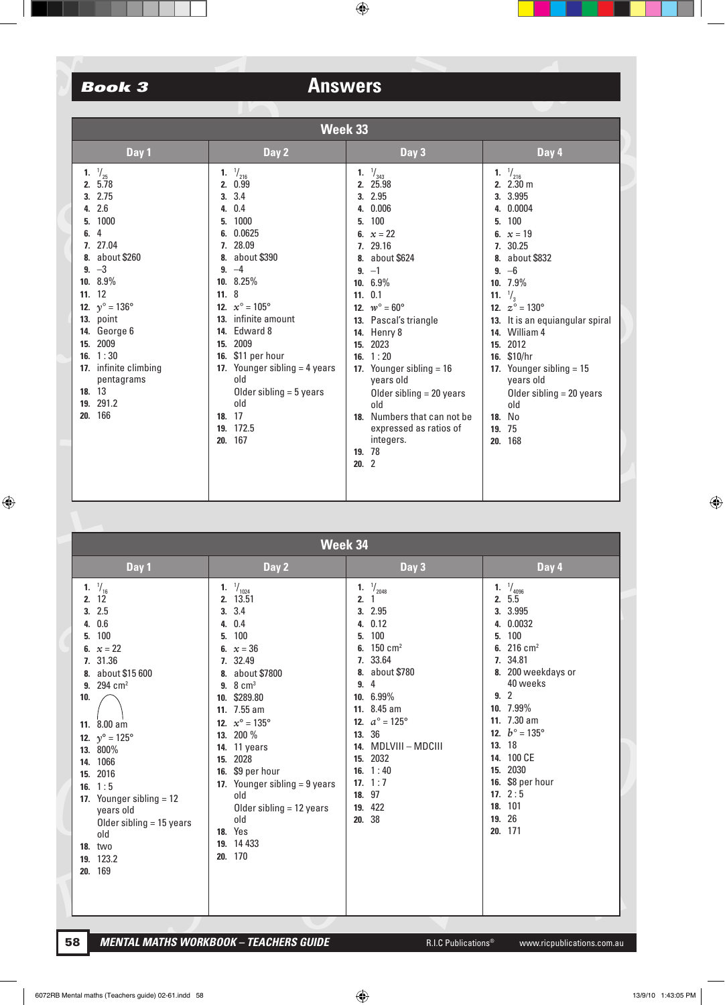## **Book 3**

# **Answers**

| Week 33                             |       |                                        |          |                                         |                   |                                         |
|-------------------------------------|-------|----------------------------------------|----------|-----------------------------------------|-------------------|-----------------------------------------|
|                                     | Day 1 | Day 2                                  | Day 3    |                                         | Day 4             |                                         |
| $\frac{1}{25}$<br>1.<br>5.78<br>2.  | 1.    | $\frac{1}{216}$<br>2. 0.99             | 1.<br>2. | $\frac{1}{343}$<br>25.98                |                   | 1. $\frac{1}{216}$<br>2. 2.30 m         |
| 2.75<br>2.6                         |       | 3.3.4                                  |          | 3. 2.95<br>0.006                        |                   | 3. 3.995<br>0.0004                      |
| 4.<br>1000<br>5.                    | 5.    | 4. 0.4<br>1000                         | 4.<br>5. | 100                                     | 4.<br>5.          | 100                                     |
| 4<br>6.                             |       | 6. 0.0625                              | 6.       | $x = 22$                                | 6.                | $x = 19$                                |
| 27.04<br>7.<br>about \$260          | 8.    | 7. 28.09<br>about \$390                |          | 7. 29.16<br>8. about \$624              | 8.                | 7. 30.25<br>about \$832                 |
| $9. -3$                             |       | $9. -4$                                |          | $9. -1$                                 | 9.                | $-6$                                    |
| 8.9%<br>10.<br>12<br>11.            | 11.8  | 10. 8.25%                              |          | 10. 6.9%<br>11. 0.1                     | 11. $\frac{1}{3}$ | $10.7.9\%$                              |
| 12. $v^{\circ} = 136^{\circ}$       |       | 12. $x^{\circ} = 105^{\circ}$          |          | 12. $w^{\circ} = 60^{\circ}$            |                   | 12. $z^{\circ} = 130^{\circ}$           |
| 13. point                           |       | 13. infinite amount                    |          | 13. Pascal's triangle                   |                   | 13. It is an equiangular spiral         |
| George 6<br>14.<br>2009<br>15.      | 15.   | 14. Edward 8<br>2009                   | 15.      | <b>14.</b> Henry 8<br>2023              | 14.<br>15.        | William 4<br>2012                       |
| 1:30<br>16.                         |       | 16. \$11 per hour                      | 16.      | 1:20                                    | 16.               | \$10/hr                                 |
| 17. infinite climbing<br>pentagrams |       | 17. Younger sibling $=$ 4 years<br>old |          | 17. Younger sibling $= 16$<br>years old |                   | 17. Younger sibling $= 15$<br>years old |
| 18. 13                              |       | Older sibling $=$ 5 years              |          | Older sibling $= 20$ years              |                   | Older sibling $= 20$ years              |
| 291.2<br>19.<br>166<br>20.          |       | old<br>18. 17                          |          | old<br>18. Numbers that can not be      | 18.               | old<br>No                               |
|                                     |       | 19. 172.5                              |          | expressed as ratios of                  | 19.               | 75                                      |
|                                     |       | 20. 167                                | 19.      | integers.<br>-78                        | 20.               | 168                                     |
|                                     |       |                                        | 20.2     |                                         |                   |                                         |
|                                     |       |                                        |          |                                         |                   |                                         |
|                                     |       |                                        |          |                                         |                   |                                         |

|                                                                                                 | Week 34                                                                                                                                                                                                                                                                               |                       |                                                                                                                                                                                                                                                                                                                                                                             |                                         |                                                                                                                                                                                                                                                                      |                                          |                                                                                                                                                                                                                                                                                             |  |  |
|-------------------------------------------------------------------------------------------------|---------------------------------------------------------------------------------------------------------------------------------------------------------------------------------------------------------------------------------------------------------------------------------------|-----------------------|-----------------------------------------------------------------------------------------------------------------------------------------------------------------------------------------------------------------------------------------------------------------------------------------------------------------------------------------------------------------------------|-----------------------------------------|----------------------------------------------------------------------------------------------------------------------------------------------------------------------------------------------------------------------------------------------------------------------|------------------------------------------|---------------------------------------------------------------------------------------------------------------------------------------------------------------------------------------------------------------------------------------------------------------------------------------------|--|--|
|                                                                                                 | Day 1                                                                                                                                                                                                                                                                                 |                       | Day 2                                                                                                                                                                                                                                                                                                                                                                       | Day 3                                   |                                                                                                                                                                                                                                                                      |                                          | Day 4                                                                                                                                                                                                                                                                                       |  |  |
| 1.<br>2.<br>3.<br>4.<br>5.<br>7.<br>8.<br>10.<br>14.<br>15.<br><b>18.</b> two<br>19.<br>20. 169 | $\frac{1}{16}$<br>12<br>2.5<br>0.6<br>100<br>6. $x = 22$<br>31.36<br>about \$15 600<br>9. 294 $cm2$<br>11. 8.00 am<br>12. $y^{\circ} = 125^{\circ}$<br>13. 800%<br>1066<br>2016<br>16. $1:5$<br>17. Younger sibling $= 12$<br>years old<br>Older sibling $= 15$ years<br>old<br>123.2 | 1.<br>5.<br>7.<br>15. | $\frac{1}{1024}$<br>2. 13.51<br>3.3.4<br>4. 0.4<br>100<br>6. $x = 36$<br>32.49<br>8. about \$7800<br>9. $8 \text{ cm}^3$<br>10. \$289.80<br>11. 7.55 am<br>12. $x^{\circ} = 135^{\circ}$<br>13. 200 %<br>14. 11 years<br>2028<br>16. \$9 per hour<br>17. Younger sibling $= 9$ years<br>old<br>Older sibling $= 12$ years<br>old<br><b>18.</b> Yes<br>19. 14 433<br>20. 170 | 1.<br>2.<br>4.<br>5.<br>6.<br>9.<br>14. | $\frac{1}{2048}$<br>3. 2.95<br>0.12<br>100<br>$150 \text{ cm}^2$<br>7. 33.64<br>8. about \$780<br>4<br>10. 6.99%<br>11. 8.45 am<br>12. $a^{\circ} = 125^{\circ}$<br>13. 36<br>MDLVIII – MDCIII<br>15. 2032<br>16. $1:40$<br>17. $1:7$<br>18. 97<br>19. 422<br>20. 38 | 1.<br>4.<br>5.<br>6.<br>7.<br>14.<br>15. | $\frac{1}{4096}$<br>2.5.5<br>3. 3.995<br>0.0032<br>100<br>$216$ cm <sup>2</sup><br>34.81<br>8. 200 weekdays or<br>40 weeks<br>9.2<br>10. 7.99%<br>11. 7.30 am<br>12. $b^{\circ} = 135^{\circ}$<br>13. 18<br>100 CE<br>2030<br>16. \$8 per hour<br>17. $2:5$<br>18. 101<br>19. 26<br>20. 171 |  |  |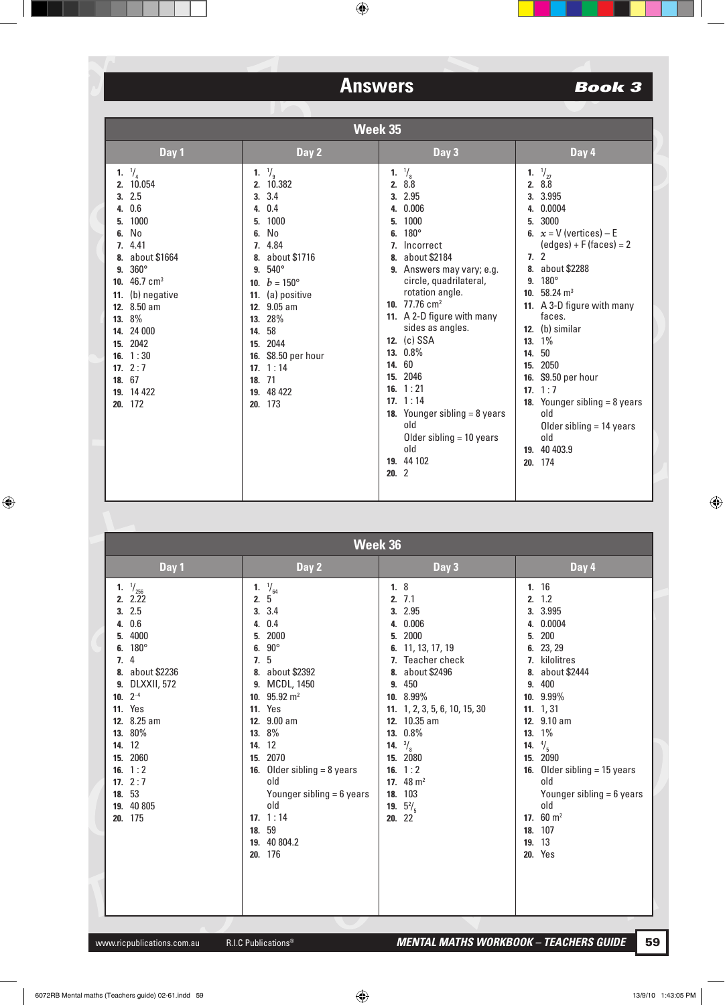## **Book 3**

|                | Week 35                                                                                                                                                                                                                                                                    |                                                                                                                                                                                                                                                                                                          |                                                                                                                                                                                                                                                                                                                                                                                                                                                                                     |     |                                                                                                                                                                                                                                                                                                                                                                                                                                                     |  |
|----------------|----------------------------------------------------------------------------------------------------------------------------------------------------------------------------------------------------------------------------------------------------------------------------|----------------------------------------------------------------------------------------------------------------------------------------------------------------------------------------------------------------------------------------------------------------------------------------------------------|-------------------------------------------------------------------------------------------------------------------------------------------------------------------------------------------------------------------------------------------------------------------------------------------------------------------------------------------------------------------------------------------------------------------------------------------------------------------------------------|-----|-----------------------------------------------------------------------------------------------------------------------------------------------------------------------------------------------------------------------------------------------------------------------------------------------------------------------------------------------------------------------------------------------------------------------------------------------------|--|
|                | Day 1                                                                                                                                                                                                                                                                      | Day 2                                                                                                                                                                                                                                                                                                    | Day 3                                                                                                                                                                                                                                                                                                                                                                                                                                                                               |     | Day 4                                                                                                                                                                                                                                                                                                                                                                                                                                               |  |
| 5.<br>6.<br>9. | 1. $\frac{1}{4}$<br>2. 10.054<br>3.2.5<br>4. 0.6<br>1000<br>No<br>7.4.41<br>8. about \$1664<br>$360^\circ$<br>10. $46.7 \text{ cm}^3$<br>11. (b) negative<br>12. 8.50 am<br>13. 8%<br>14. 24 000<br>15. 2042<br>16. $1:30$<br>17. $2:7$<br>18. 67<br>19. 14 422<br>20. 172 | 1. $\frac{1}{9}$<br>2. 10.382<br>3.3.4<br>0.4<br>4.<br>1000<br>5.<br>No<br>6.<br>7. 4.84<br>about \$1716<br>8.<br>$540^\circ$<br>9.<br>10. $b = 150^{\circ}$<br>11. (a) positive<br>12. 9.05 am<br>13. 28%<br>14. 58<br>15. 2044<br>16. \$8.50 per hour<br>17. $1:14$<br>18. 71<br>19. 48 422<br>20. 173 | $\frac{1}{8}$<br>1.<br>2. 8.8<br>3. 2.95<br>0.006<br>4.<br>1000<br>5.<br>180°<br>6.<br>Incorrect<br>7.<br>about \$2184<br>8.<br>9. Answers may vary; e.g.<br>circle, quadrilateral,<br>rotation angle.<br>10. $77.76$ cm <sup>2</sup><br>11. A 2-D figure with many<br>sides as angles.<br>12. (c) SSA<br>13. 0.8%<br>60<br>14.<br>15. 2046<br>16. $1:21$<br>17. $1:14$<br><b>18.</b> Younger sibling $= 8$ years<br>old<br>Older sibling $=$ 10 years<br>old<br>19. 44 102<br>20.2 | 14. | $\frac{1}{27}$<br>1.<br>2. 8.8<br>3. 3.995<br>4. 0.0004<br>3000<br>5.<br>6. $x = V$ (vertices) – E<br>$(edges) + F(faces) = 2$<br>7.2<br>8. about \$2288<br>9. $180^{\circ}$<br>10. $58.24 \text{ m}^3$<br>11. A 3-D figure with many<br>faces.<br>12. (b) similar<br>13. 1%<br>50<br>15. 2050<br>16. \$9.50 per hour<br>17. $1:7$<br><b>18.</b> Younger sibling $= 8$ years<br>old<br>Older sibling $= 14$ years<br>old<br>19. 40 403.9<br>20. 174 |  |

| Week 36                                                                                                                                                                                                                                                                            |                                                                                                                                                                                                                                                                                                                                                                                                              |                                                                                                                                                                                                                                                                                                                                        |                                                                                                                                                                                                                                                                                                                                                                   |  |  |
|------------------------------------------------------------------------------------------------------------------------------------------------------------------------------------------------------------------------------------------------------------------------------------|--------------------------------------------------------------------------------------------------------------------------------------------------------------------------------------------------------------------------------------------------------------------------------------------------------------------------------------------------------------------------------------------------------------|----------------------------------------------------------------------------------------------------------------------------------------------------------------------------------------------------------------------------------------------------------------------------------------------------------------------------------------|-------------------------------------------------------------------------------------------------------------------------------------------------------------------------------------------------------------------------------------------------------------------------------------------------------------------------------------------------------------------|--|--|
| Day 1                                                                                                                                                                                                                                                                              | Day 2                                                                                                                                                                                                                                                                                                                                                                                                        | Day 3                                                                                                                                                                                                                                                                                                                                  | Day 4                                                                                                                                                                                                                                                                                                                                                             |  |  |
| $\frac{1}{256}$<br>1.<br>2.22<br>3.2.5<br>4. 0.6<br>4000<br>5.<br>$180^\circ$<br>6.<br>4<br>7.<br>8. about \$2236<br>9. DLXXII, 572<br>10. $2^{-4}$<br><b>11.</b> Yes<br>12. 8.25 am<br>13. 80%<br>14. 12<br>15. 2060<br>16. $1:2$<br>17. $2:7$<br>18. 53<br>19. 40 805<br>20. 175 | $\frac{1}{64}$<br>1.<br>2.<br>5<br>3.4<br>3.<br>0.4<br>4.<br>2000<br>5.<br>$90^\circ$<br>6.<br>5<br>7.<br>about \$2392<br>8.<br><b>MCDL, 1450</b><br>9.<br>$95.92 \; \text{m}^2$<br>10.<br><b>11.</b> Yes<br>12. 9.00 am<br>8%<br>13.<br>12<br>14.<br>2070<br>15.<br><b>16.</b> Older sibling $= 8$ years<br>old<br>Younger sibling $= 6$ years<br>old<br>17. $1:14$<br>59<br>18.<br>19. 40 804.2<br>20. 176 | 1.8<br>2.7.1<br>3. 2.95<br>4. 0.006<br>2000<br>5.<br>11, 13, 17, 19<br>6.<br>7. Teacher check<br>about \$2496<br>8.<br>450<br>9.<br>10. 8.99%<br>11. 1, 2, 3, 5, 6, 10, 15, 30<br>12. 10.35 am<br>13. 0.8%<br><b>14.</b> $\frac{3}{8}$<br>15. 2080<br>1:2<br>16.<br>17. $48 \text{ m}^2$<br>103<br>18.<br>$5^{2}/_{5}$<br>19.<br>20.22 | 1.16<br>2. 1.2<br>3. 3.995<br>0.0004<br>4.<br>200<br>5.<br>23, 29<br>6.<br>7. kilolitres<br>8. about \$2444<br>9. 400<br>10. 9.99%<br>11. $1, 31$<br>12. 9.10 am<br>$1\%$<br>13.<br>$\frac{4}{5}$<br>14.<br>15. 2090<br>Older sibling $= 15$ years<br>16.<br>old<br>Younger sibling $= 6$ years<br>old<br>17. $60 \text{ m}^2$<br>107<br>18.<br>19. 13<br>20. Yes |  |  |

R.I.C Publications<sup>®</sup>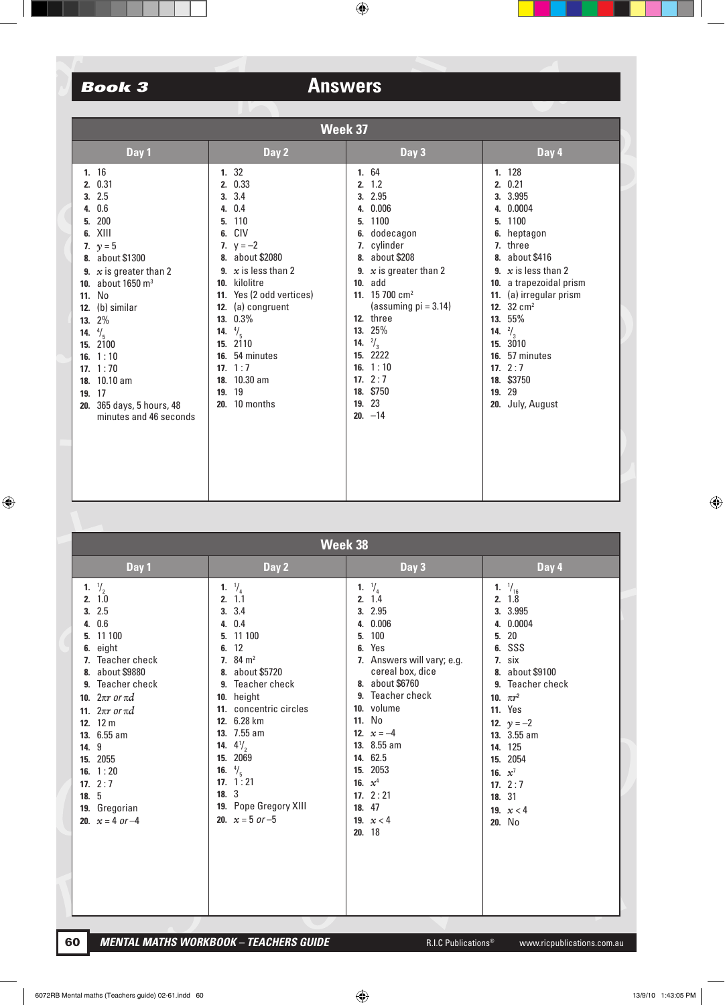| Week 37                                                                                                                                                                                                                                                                                                                                                                                    |                                                                                                                                                                                                                                                                                                                     |                                                                                                                                                                                                                                                                                                                                                       |                                                                                                                                                                                                                                                                                                                                                                    |  |  |  |
|--------------------------------------------------------------------------------------------------------------------------------------------------------------------------------------------------------------------------------------------------------------------------------------------------------------------------------------------------------------------------------------------|---------------------------------------------------------------------------------------------------------------------------------------------------------------------------------------------------------------------------------------------------------------------------------------------------------------------|-------------------------------------------------------------------------------------------------------------------------------------------------------------------------------------------------------------------------------------------------------------------------------------------------------------------------------------------------------|--------------------------------------------------------------------------------------------------------------------------------------------------------------------------------------------------------------------------------------------------------------------------------------------------------------------------------------------------------------------|--|--|--|
| Day 1                                                                                                                                                                                                                                                                                                                                                                                      | Day 2                                                                                                                                                                                                                                                                                                               | Day 3                                                                                                                                                                                                                                                                                                                                                 | Day 4                                                                                                                                                                                                                                                                                                                                                              |  |  |  |
| 1.16<br>0.31<br>2.<br>2.5<br>3.<br>0.6<br>4.<br>200<br>5.<br>XIII<br>6.<br>7. $y = 5$<br>about \$1300<br>8.<br>9. $x$ is greater than 2<br>about 1650 m <sup>3</sup><br>10.<br><b>No</b><br>11.<br>(b) similar<br>12.<br>2%<br>13.<br>$^{4}/_{5}$<br>14.<br>2100<br>15.<br>16. $1:10$<br>17. $1:70$<br>18. 10.10 am<br>17<br>19.<br>365 days, 5 hours, 48<br>20.<br>minutes and 46 seconds | 1.32<br>2. 0.33<br>3.3.4<br>4. 0.4<br>5. 110<br>6. CIV<br>7. $y = -2$<br>8. about \$2080<br>$x$ is less than 2<br>9.<br>kilolitre<br>10.<br>11. Yes (2 odd vertices)<br>12. (a) congruent<br>13. 0.3%<br>14. $\frac{4}{5}$<br>15. 2110<br>16. 54 minutes<br>17. $1:7$<br>18. 10.30 am<br>19. 19<br>10 months<br>20. | 1. 64<br>1.2<br>2.<br>2.95<br>3.<br>0.006<br>4.<br>1100<br>5.<br>dodecagon<br>6.<br>cylinder<br>7.<br>about \$208<br>8.<br>$x$ is greater than 2<br>9.<br>add<br>10.<br>11. 15 700 $cm2$<br>(assuming $pi = 3.14$ )<br>12. three<br>25%<br>13.<br>$^{2}/_{3}$<br>14.<br>2222<br>15.<br>16. $1:10$<br>17. $2:7$<br>18. \$750<br>23<br>19.<br>$20. -14$ | 1. 128<br>0.21<br>2.<br>3. 3.995<br>0.0004<br>4.<br>1100<br>5.<br>heptagon<br>6.<br>7. three<br>about \$416<br>8.<br>$x$ is less than 2<br>9.<br>10. a trapezoidal prism<br>11. (a) irregular prism<br>12. $32 \text{ cm}^2$<br>55%<br>13.<br>$\frac{2}{3}$<br>14.<br>3010<br>15.<br>57 minutes<br>16.<br>17. $2:7$<br>18. \$3750<br>29<br>19.<br>20. July, August |  |  |  |

| Week 38                                                                                                                                                |                                                                                                                                                                                             |                                                                                                                                                                                                                                                                                                                                      |                                                                                                                                                                                                                                                                                                                  |                                                                                                                                                                                                                                                                                     |  |  |
|--------------------------------------------------------------------------------------------------------------------------------------------------------|---------------------------------------------------------------------------------------------------------------------------------------------------------------------------------------------|--------------------------------------------------------------------------------------------------------------------------------------------------------------------------------------------------------------------------------------------------------------------------------------------------------------------------------------|------------------------------------------------------------------------------------------------------------------------------------------------------------------------------------------------------------------------------------------------------------------------------------------------------------------|-------------------------------------------------------------------------------------------------------------------------------------------------------------------------------------------------------------------------------------------------------------------------------------|--|--|
|                                                                                                                                                        | Day 1                                                                                                                                                                                       | Day 2                                                                                                                                                                                                                                                                                                                                | Day 3                                                                                                                                                                                                                                                                                                            | Day 4                                                                                                                                                                                                                                                                               |  |  |
| $\frac{1}{2}$<br>1.<br>2.1.0<br>3.<br>4.<br>5.<br>6.<br>8.<br>11.<br>12. $12 \text{ m}$<br>9<br>14.<br>15. 2055<br>16. $1:20$<br>17. $2:7$<br>5<br>18. | 2.5<br>0.6<br>11 100<br>eight<br>Teacher check<br>about \$9880<br>9. Teacher check<br>10. $2\pi r$ or $\pi d$<br>$2\pi r$ or $\pi d$<br>13. 6.55 am<br>19. Gregorian<br>20. $x = 4$ or $-4$ | 1. $\frac{1}{4}$<br>2.11<br>3.3.4<br>4. 0.4<br>5. 11 100<br>6.12<br>7. $84 \text{ m}^2$<br>8. about \$5720<br>9. Teacher check<br>10. height<br>11. concentric circles<br>12. 6.28 km<br>13. 7.55 am<br>14. $4\frac{1}{2}$<br>2069<br>15.<br>16. $\frac{4}{5}$<br>17. $1:21$<br>18.3<br>19. Pope Gregory XIII<br>20. $x = 5$ or $-5$ | 1. $\frac{1}{4}$<br>2.1.4<br>3. 2.95<br>4. 0.006<br>100<br>5.<br>Yes<br>6.<br>7. Answers will vary; e.g.<br>cereal box, dice<br>8. about \$6760<br>9. Teacher check<br>10. volume<br>11. No<br>12. $x = -4$<br>13. 8.55 am<br>14. 62.5<br>15. 2053<br>16. $x^4$<br>17. $2:21$<br>18. 47<br>19. $x < 4$<br>20. 18 | $^{1}/_{16}$<br>1.<br>2.18<br>3. 3.995<br>4. 0.0004<br>20<br>5.<br>SSS<br>6.<br>7. six<br>8. about \$9100<br>9. Teacher check<br>10. $\pi r^2$<br><b>11.</b> Yes<br>12. $y = -2$<br>13. 3.55 am<br>14. 125<br>15. 2054<br>16. $x^7$<br>17. $2:7$<br>18. 31<br>19. $x < 4$<br>20. No |  |  |